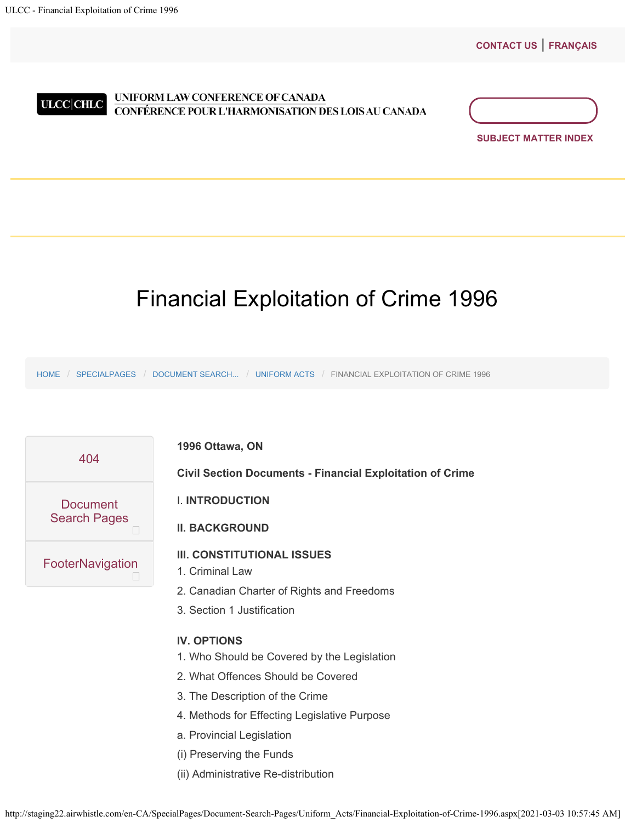**[CONTACT US](http://staging22.airwhistle.com/Login.aspx)** | **[FRANÇAIS](http://staging22.airwhistle.com/en-ca/specialpages/document-search-pages/uniform_acts/financial-exploitation-of-crime-1996.aspx?lang=fr-ca)**

<span id="page-0-0"></span>

## UNIFORM LAW CONFERENCE OF CANADA CONFÉRENCE POUR L'HARMONISATION DES LOIS AU CANADA



# Financial Exploitation of Crime 1996

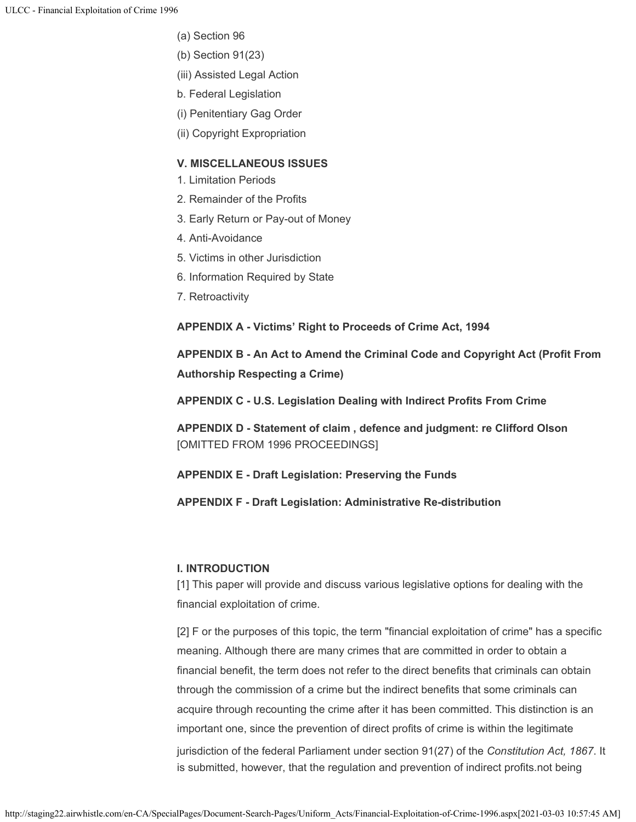- (a) Section 96
- (b) Section 91(23)
- (iii) Assisted Legal Action
- b. Federal Legislation
- (i) Penitentiary Gag Order
- (ii) Copyright Expropriation

# **V. MISCELLANEOUS ISSUES**

- 1. Limitation Periods
- 2. Remainder of the Profits
- 3. Early Return or Pay-out of Money
- 4. Anti-Avoidance
- 5. Victims in other Jurisdiction
- 6. Information Required by State
- 7. Retroactivity

**APPENDIX A - Victims' Right to Proceeds of Crime Act, 1994**

**APPENDIX B - An Act to Amend the Criminal Code and Copyright Act (Profit From Authorship Respecting a Crime)**

**APPENDIX C - U.S. Legislation Dealing with Indirect Profits From Crime**

**APPENDIX D - Statement of claim , defence and judgment: re Clifford Olson** [OMITTED FROM 1996 PROCEEDINGS]

**APPENDIX E - Draft Legislation: Preserving the Funds**

**APPENDIX F - Draft Legislation: Administrative Re-distribution**

# **I. INTRODUCTION**

[1] This paper will provide and discuss various legislative options for dealing with the financial exploitation of crime.

[2] F or the purposes of this topic, the term "financial exploitation of crime" has a specific meaning. Although there are many crimes that are committed in order to obtain a financial benefit, the term does not refer to the direct benefits that criminals can obtain through the commission of a crime but the indirect benefits that some criminals can acquire through recounting the crime after it has been committed. This distinction is an important one, since the prevention of direct profits of crime is within the legitimate jurisdiction of the federal Parliament under section 91(27) of the *Constitution Act, 1867*. It

is submitted, however, that the regulation and prevention of indirect profits.not being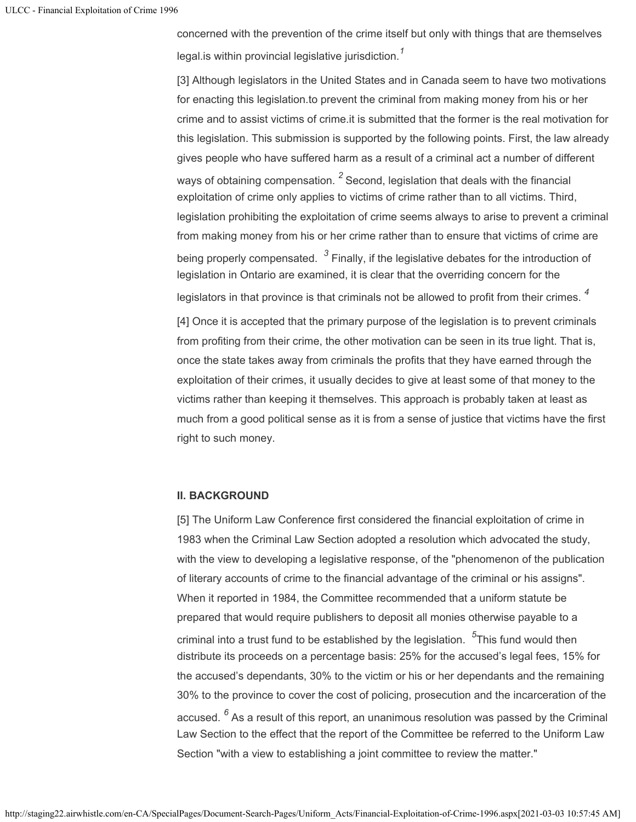concerned with the prevention of the crime itself but only with things that are themselves legal.is within provincial legislative jurisdiction. *1*

[3] Although legislators in the United States and in Canada seem to have two motivations for enacting this legislation.to prevent the criminal from making money from his or her crime and to assist victims of crime.it is submitted that the former is the real motivation for this legislation. This submission is supported by the following points. First, the law already gives people who have suffered harm as a result of a criminal act a number of different ways of obtaining compensation.  $^2$  Second, legislation that deals with the financial exploitation of crime only applies to victims of crime rather than to all victims. Third, legislation prohibiting the exploitation of crime seems always to arise to prevent a criminal from making money from his or her crime rather than to ensure that victims of crime are being properly compensated.  $\,^3$  Finally, if the legislative debates for the introduction of legislation in Ontario are examined, it is clear that the overriding concern for the legislators in that province is that criminals not be allowed to profit from their crimes. *4*

[4] Once it is accepted that the primary purpose of the legislation is to prevent criminals from profiting from their crime, the other motivation can be seen in its true light. That is, once the state takes away from criminals the profits that they have earned through the exploitation of their crimes, it usually decides to give at least some of that money to the victims rather than keeping it themselves. This approach is probably taken at least as much from a good political sense as it is from a sense of justice that victims have the first right to such money.

## **II. BACKGROUND**

[5] The Uniform Law Conference first considered the financial exploitation of crime in 1983 when the Criminal Law Section adopted a resolution which advocated the study, with the view to developing a legislative response, of the "phenomenon of the publication of literary accounts of crime to the financial advantage of the criminal or his assigns". When it reported in 1984, the Committee recommended that a uniform statute be prepared that would require publishers to deposit all monies otherwise payable to a criminal into a trust fund to be established by the legislation. <sup>5</sup>This fund would then distribute its proceeds on a percentage basis: 25% for the accused's legal fees, 15% for the accused's dependants, 30% to the victim or his or her dependants and the remaining 30% to the province to cover the cost of policing, prosecution and the incarceration of the accused. <sup>6</sup> As a result of this report, an unanimous resolution was passed by the Criminal Law Section to the effect that the report of the Committee be referred to the Uniform Law Section "with a view to establishing a joint committee to review the matter."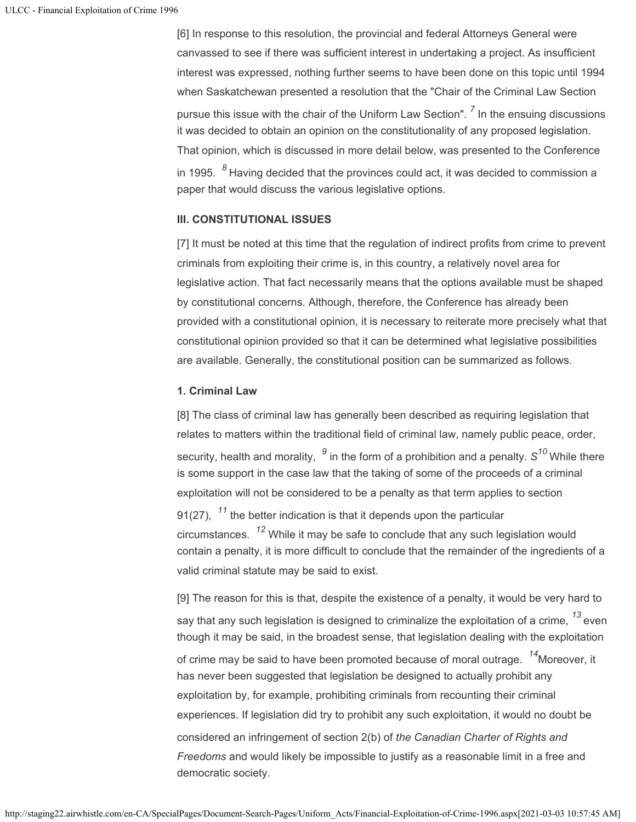[6] In response to this resolution, the provincial and federal Attorneys General were canvassed to see if there was sufficient interest in undertaking a project. As insufficient interest was expressed, nothing further seems to have been done on this topic until 1994 when Saskatchewan presented a resolution that the "Chair of the Criminal Law Section pursue this issue with the chair of the Uniform Law Section". <sup>7</sup> In the ensuing discussions it was decided to obtain an opinion on the constitutionality of any proposed legislation. That opinion, which is discussed in more detail below, was presented to the Conference in 1995.  $\,{}^{8}$  Having decided that the provinces could act, it was decided to commission a paper that would discuss the various legislative options.

#### **III. CONSTITUTIONAL ISSUES**

[7] It must be noted at this time that the regulation of indirect profits from crime to prevent criminals from exploiting their crime is, in this country, a relatively novel area for legislative action. That fact necessarily means that the options available must be shaped by constitutional concerns. Although, therefore, the Conference has already been provided with a constitutional opinion, it is necessary to reiterate more precisely what that constitutional opinion provided so that it can be determined what legislative possibilities are available. Generally, the constitutional position can be summarized as follows.

## **1. Criminal Law**

[8] The class of criminal law has generally been described as requiring legislation that relates to matters within the traditional field of criminal law, namely public peace, order, security, health and morality,  $\,^9$  in the form of a prohibition and a penalty.  $\text{S}^{10}$  While there is some support in the case law that the taking of some of the proceeds of a criminal exploitation will not be considered to be a penalty as that term applies to section 91(27),  $\ ^{11}$  the better indication is that it depends upon the particular  $\,$  circumstances.  $\,^{12}$  While it may be safe to conclude that any such legislation would contain a penalty, it is more difficult to conclude that the remainder of the ingredients of a valid criminal statute may be said to exist.

[9] The reason for this is that, despite the existence of a penalty, it would be very hard to say that any such legislation is designed to criminalize the exploitation of a crime,  $^{\textbf{\textit{13}}}$  even though it may be said, in the broadest sense, that legislation dealing with the exploitation of crime may be said to have been promoted because of moral outrage. <sup>14</sup>Moreover, it has never been suggested that legislation be designed to actually prohibit any exploitation by, for example, prohibiting criminals from recounting their criminal experiences. If legislation did try to prohibit any such exploitation, it would no doubt be considered an infringement of section 2(b) of *the Canadian Charter of Rights and Freedoms* and would likely be impossible to justify as a reasonable limit in a free and democratic society.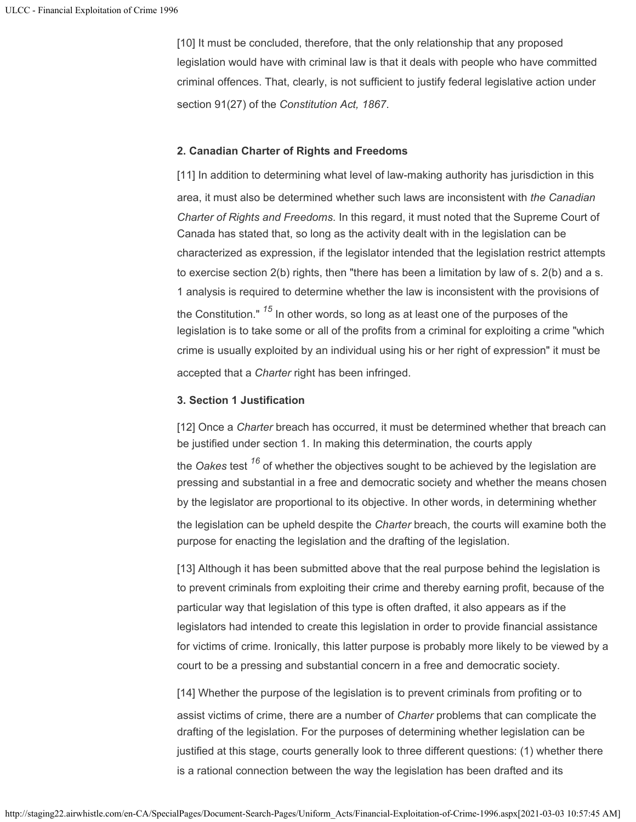[10] It must be concluded, therefore, that the only relationship that any proposed legislation would have with criminal law is that it deals with people who have committed criminal offences. That, clearly, is not sufficient to justify federal legislative action under section 91(27) of the *Constitution Act, 1867*.

## **2. Canadian Charter of Rights and Freedoms**

[11] In addition to determining what level of law-making authority has jurisdiction in this area, it must also be determined whether such laws are inconsistent with *the Canadian Charter of Rights and Freedoms*. In this regard, it must noted that the Supreme Court of Canada has stated that, so long as the activity dealt with in the legislation can be characterized as expression, if the legislator intended that the legislation restrict attempts to exercise section 2(b) rights, then "there has been a limitation by law of s. 2(b) and a s. 1 analysis is required to determine whether the law is inconsistent with the provisions of the Constitution." <sup>15</sup> In other words, so long as at least one of the purposes of the legislation is to take some or all of the profits from a criminal for exploiting a crime "which crime is usually exploited by an individual using his or her right of expression" it must be accepted that a *Charter* right has been infringed.

## **3. Section 1 Justification**

[12] Once a *Charter* breach has occurred, it must be determined whether that breach can be justified under section 1. In making this determination, the courts apply

the *Oakes* test <sup>16</sup> of whether the objectives sought to be achieved by the legislation are pressing and substantial in a free and democratic society and whether the means chosen by the legislator are proportional to its objective. In other words, in determining whether

the legislation can be upheld despite the *Charter* breach, the courts will examine both the purpose for enacting the legislation and the drafting of the legislation.

[13] Although it has been submitted above that the real purpose behind the legislation is to prevent criminals from exploiting their crime and thereby earning profit, because of the particular way that legislation of this type is often drafted, it also appears as if the legislators had intended to create this legislation in order to provide financial assistance for victims of crime. Ironically, this latter purpose is probably more likely to be viewed by a court to be a pressing and substantial concern in a free and democratic society.

[14] Whether the purpose of the legislation is to prevent criminals from profiting or to assist victims of crime, there are a number of *Charter* problems that can complicate the drafting of the legislation. For the purposes of determining whether legislation can be justified at this stage, courts generally look to three different questions: (1) whether there is a rational connection between the way the legislation has been drafted and its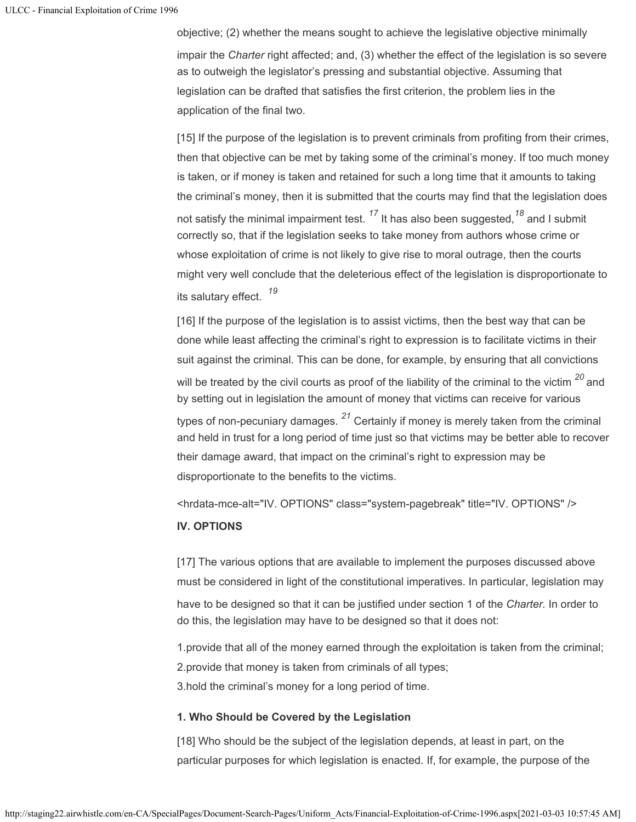objective; (2) whether the means sought to achieve the legislative objective minimally impair the *Charter* right affected; and, (3) whether the effect of the legislation is so severe as to outweigh the legislator's pressing and substantial objective. Assuming that legislation can be drafted that satisfies the first criterion, the problem lies in the application of the final two.

[15] If the purpose of the legislation is to prevent criminals from profiting from their crimes, then that objective can be met by taking some of the criminal's money. If too much money is taken, or if money is taken and retained for such a long time that it amounts to taking the criminal's money, then it is submitted that the courts may find that the legislation does not satisfy the minimal impairment test. <sup>17</sup> It has also been suggested,<sup>18</sup> and I submit correctly so, that if the legislation seeks to take money from authors whose crime or whose exploitation of crime is not likely to give rise to moral outrage, then the courts might very well conclude that the deleterious effect of the legislation is disproportionate to its salutary effect. *19*

[16] If the purpose of the legislation is to assist victims, then the best way that can be done while least affecting the criminal's right to expression is to facilitate victims in their suit against the criminal. This can be done, for example, by ensuring that all convictions will be treated by the civil courts as proof of the liability of the criminal to the victim  $^{\mathit{20}}$  and by setting out in legislation the amount of money that victims can receive for various types of non-pecuniary damages. <sup>21</sup> Certainly if money is merely taken from the criminal and held in trust for a long period of time just so that victims may be better able to recover their damage award, that impact on the criminal's right to expression may be disproportionate to the benefits to the victims.

<hrdata-mce-alt="IV. OPTIONS" class="system-pagebreak" title="IV. OPTIONS" />

## **IV. OPTIONS**

[17] The various options that are available to implement the purposes discussed above must be considered in light of the constitutional imperatives. In particular, legislation may have to be designed so that it can be justified under section 1 of the *Charter.* In order to do this, the legislation may have to be designed so that it does not:

1.provide that all of the money earned through the exploitation is taken from the criminal; 2.provide that money is taken from criminals of all types; 3.hold the criminal's money for a long period of time.

## **1. Who Should be Covered by the Legislation**

[18] Who should be the subject of the legislation depends, at least in part, on the particular purposes for which legislation is enacted. If, for example, the purpose of the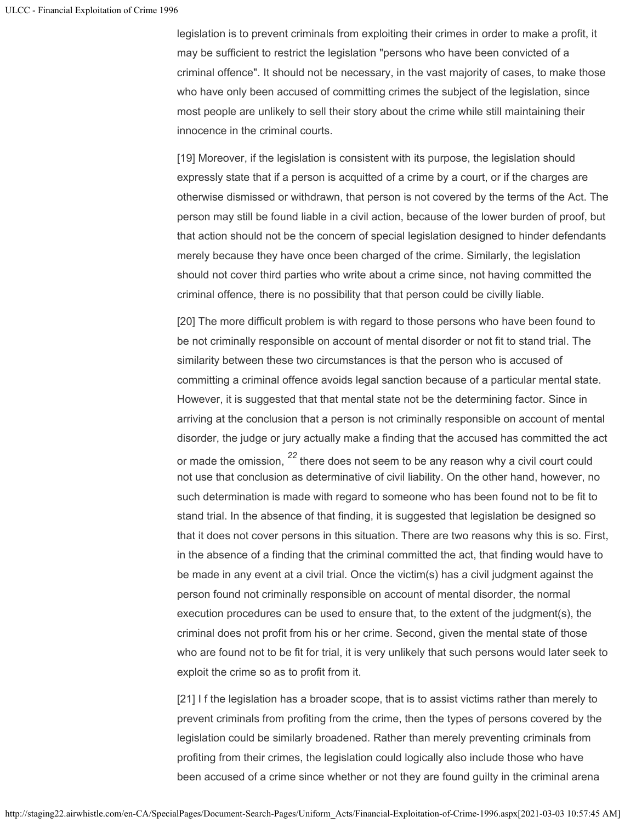legislation is to prevent criminals from exploiting their crimes in order to make a profit, it may be sufficient to restrict the legislation "persons who have been convicted of a criminal offence". It should not be necessary, in the vast majority of cases, to make those who have only been accused of committing crimes the subject of the legislation, since most people are unlikely to sell their story about the crime while still maintaining their innocence in the criminal courts.

[19] Moreover, if the legislation is consistent with its purpose, the legislation should expressly state that if a person is acquitted of a crime by a court, or if the charges are otherwise dismissed or withdrawn, that person is not covered by the terms of the Act. The person may still be found liable in a civil action, because of the lower burden of proof, but that action should not be the concern of special legislation designed to hinder defendants merely because they have once been charged of the crime. Similarly, the legislation should not cover third parties who write about a crime since, not having committed the criminal offence, there is no possibility that that person could be civilly liable.

[20] The more difficult problem is with regard to those persons who have been found to be not criminally responsible on account of mental disorder or not fit to stand trial. The similarity between these two circumstances is that the person who is accused of committing a criminal offence avoids legal sanction because of a particular mental state. However, it is suggested that that mental state not be the determining factor. Since in arriving at the conclusion that a person is not criminally responsible on account of mental disorder, the judge or jury actually make a finding that the accused has committed the act or made the omission,  $^{22}$  there does not seem to be any reason why a civil court could not use that conclusion as determinative of civil liability. On the other hand, however, no such determination is made with regard to someone who has been found not to be fit to stand trial. In the absence of that finding, it is suggested that legislation be designed so that it does not cover persons in this situation. There are two reasons why this is so. First, in the absence of a finding that the criminal committed the act, that finding would have to be made in any event at a civil trial. Once the victim(s) has a civil judgment against the person found not criminally responsible on account of mental disorder, the normal execution procedures can be used to ensure that, to the extent of the judgment(s), the criminal does not profit from his or her crime. Second, given the mental state of those who are found not to be fit for trial, it is very unlikely that such persons would later seek to exploit the crime so as to profit from it.

[21] I f the legislation has a broader scope, that is to assist victims rather than merely to prevent criminals from profiting from the crime, then the types of persons covered by the legislation could be similarly broadened. Rather than merely preventing criminals from profiting from their crimes, the legislation could logically also include those who have been accused of a crime since whether or not they are found guilty in the criminal arena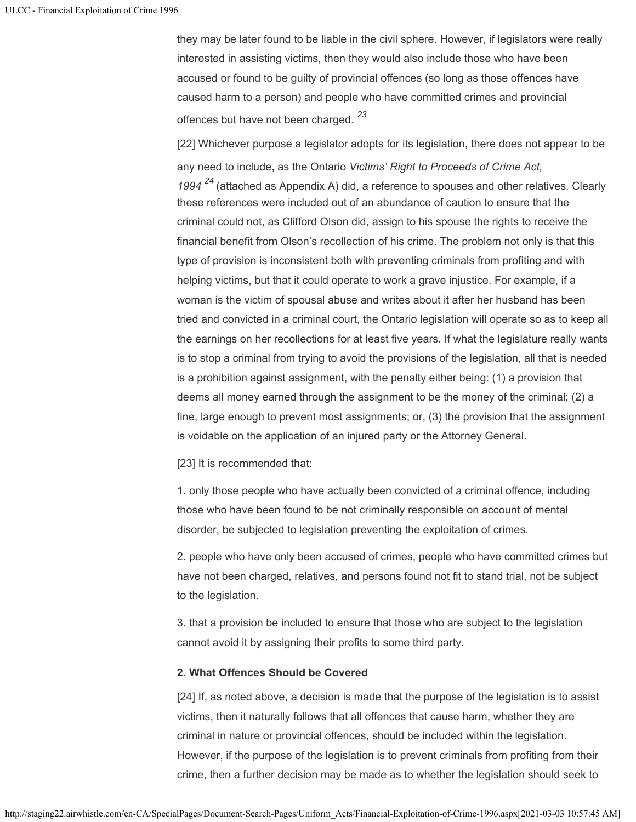they may be later found to be liable in the civil sphere. However, if legislators were really interested in assisting victims, then they would also include those who have been accused or found to be guilty of provincial offences (so long as those offences have caused harm to a person) and people who have committed crimes and provincial offences but have not been charged. *23*

[22] Whichever purpose a legislator adopts for its legislation, there does not appear to be any need to include, as the Ontario *Victims' Right to Proceeds of Crime Act, 1994* (attached as Appendix A) did, a reference to spouses and other relatives. Clearly *24*these references were included out of an abundance of caution to ensure that the criminal could not, as Clifford Olson did, assign to his spouse the rights to receive the financial benefit from Olson's recollection of his crime. The problem not only is that this type of provision is inconsistent both with preventing criminals from profiting and with helping victims, but that it could operate to work a grave injustice. For example, if a woman is the victim of spousal abuse and writes about it after her husband has been tried and convicted in a criminal court, the Ontario legislation will operate so as to keep all the earnings on her recollections for at least five years. If what the legislature really wants is to stop a criminal from trying to avoid the provisions of the legislation, all that is needed is a prohibition against assignment, with the penalty either being: (1) a provision that deems all money earned through the assignment to be the money of the criminal; (2) a fine, large enough to prevent most assignments; or, (3) the provision that the assignment is voidable on the application of an injured party or the Attorney General.

[23] It is recommended that:

1. only those people who have actually been convicted of a criminal offence, including those who have been found to be not criminally responsible on account of mental disorder, be subjected to legislation preventing the exploitation of crimes.

2. people who have only been accused of crimes, people who have committed crimes but have not been charged, relatives, and persons found not fit to stand trial, not be subject to the legislation.

3. that a provision be included to ensure that those who are subject to the legislation cannot avoid it by assigning their profits to some third party.

## **2. What Offences Should be Covered**

[24] If, as noted above, a decision is made that the purpose of the legislation is to assist victims, then it naturally follows that all offences that cause harm, whether they are criminal in nature or provincial offences, should be included within the legislation. However, if the purpose of the legislation is to prevent criminals from profiting from their crime, then a further decision may be made as to whether the legislation should seek to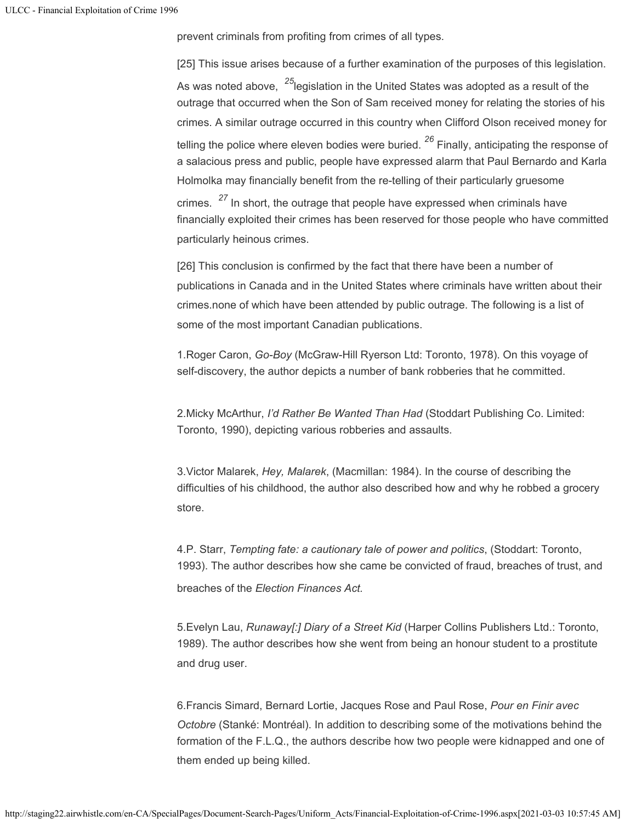prevent criminals from profiting from crimes of all types.

[25] This issue arises because of a further examination of the purposes of this legislation. As was noted above, <sup>25</sup>legislation in the United States was adopted as a result of the outrage that occurred when the Son of Sam received money for relating the stories of his crimes. A similar outrage occurred in this country when Clifford Olson received money for telling the police where eleven bodies were buried. <sup>26</sup> Finally, anticipating the response of a salacious press and public, people have expressed alarm that Paul Bernardo and Karla Holmolka may financially benefit from the re-telling of their particularly gruesome crimes. <sup>27</sup> In short, the outrage that people have expressed when criminals have financially exploited their crimes has been reserved for those people who have committed particularly heinous crimes.

[26] This conclusion is confirmed by the fact that there have been a number of publications in Canada and in the United States where criminals have written about their crimes.none of which have been attended by public outrage. The following is a list of some of the most important Canadian publications.

1.Roger Caron, *Go-Boy* (McGraw-Hill Ryerson Ltd: Toronto, 1978). On this voyage of self-discovery, the author depicts a number of bank robberies that he committed.

2.Micky McArthur, *I'd Rather Be Wanted Than Had* (Stoddart Publishing Co. Limited: Toronto, 1990), depicting various robberies and assaults.

3.Victor Malarek, *Hey, Malarek*, (Macmillan: 1984). In the course of describing the difficulties of his childhood, the author also described how and why he robbed a grocery store.

4.P. Starr, *Tempting fate: a cautionary tale of power and politics*, (Stoddart: Toronto, 1993). The author describes how she came be convicted of fraud, breaches of trust, and breaches of the *Election Finances Act.*

5.Evelyn Lau, *Runaway[:] Diary of a Street Kid* (Harper Collins Publishers Ltd.: Toronto, 1989). The author describes how she went from being an honour student to a prostitute and drug user.

6.Francis Simard, Bernard Lortie, Jacques Rose and Paul Rose, *Pour en Finir avec Octobre* (Stanké: Montréal). In addition to describing some of the motivations behind the formation of the F.L.Q., the authors describe how two people were kidnapped and one of them ended up being killed.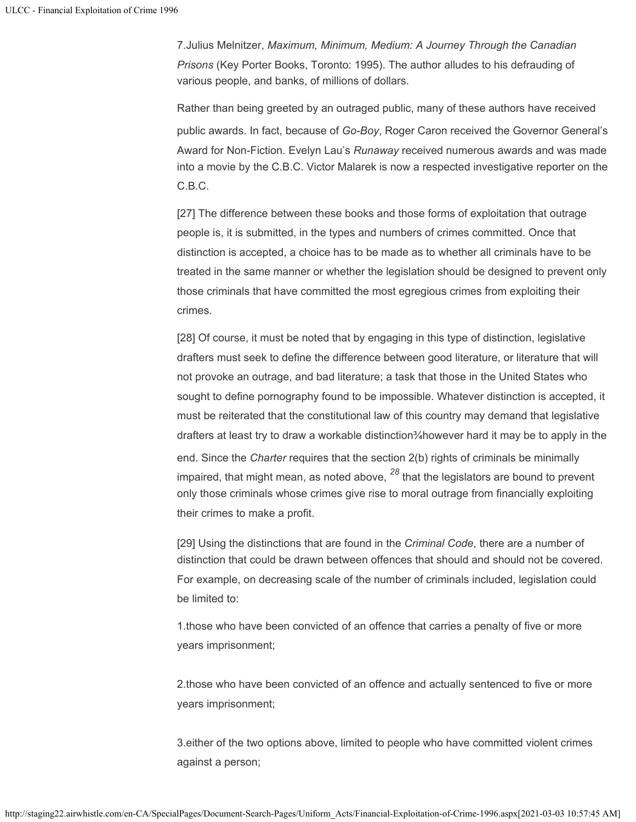7.Julius Melnitzer, *Maximum, Minimum, Medium: A Journey Through the Canadian Prisons* (Key Porter Books, Toronto: 1995). The author alludes to his defrauding of various people, and banks, of millions of dollars.

Rather than being greeted by an outraged public, many of these authors have received public awards. In fact, because of *Go-Boy*, Roger Caron received the Governor General's Award for Non-Fiction. Evelyn Lau's *Runaway* received numerous awards and was made into a movie by the C.B.C. Victor Malarek is now a respected investigative reporter on the C.B.C.

[27] The difference between these books and those forms of exploitation that outrage people is, it is submitted, in the types and numbers of crimes committed. Once that distinction is accepted, a choice has to be made as to whether all criminals have to be treated in the same manner or whether the legislation should be designed to prevent only those criminals that have committed the most egregious crimes from exploiting their crimes.

[28] Of course, it must be noted that by engaging in this type of distinction, legislative drafters must seek to define the difference between good literature, or literature that will not provoke an outrage, and bad literature; a task that those in the United States who sought to define pornography found to be impossible. Whatever distinction is accepted, it must be reiterated that the constitutional law of this country may demand that legislative drafters at least try to draw a workable distinction¾however hard it may be to apply in the end. Since the *Charter* requires that the section 2(b) rights of criminals be minimally impaired, that might mean, as noted above, <sup>28</sup> that the legislators are bound to prevent only those criminals whose crimes give rise to moral outrage from financially exploiting their crimes to make a profit.

[29] Using the distinctions that are found in the *Criminal Code*, there are a number of distinction that could be drawn between offences that should and should not be covered. For example, on decreasing scale of the number of criminals included, legislation could be limited to:

1.those who have been convicted of an offence that carries a penalty of five or more years imprisonment;

2.those who have been convicted of an offence and actually sentenced to five or more years imprisonment;

3.either of the two options above, limited to people who have committed violent crimes against a person;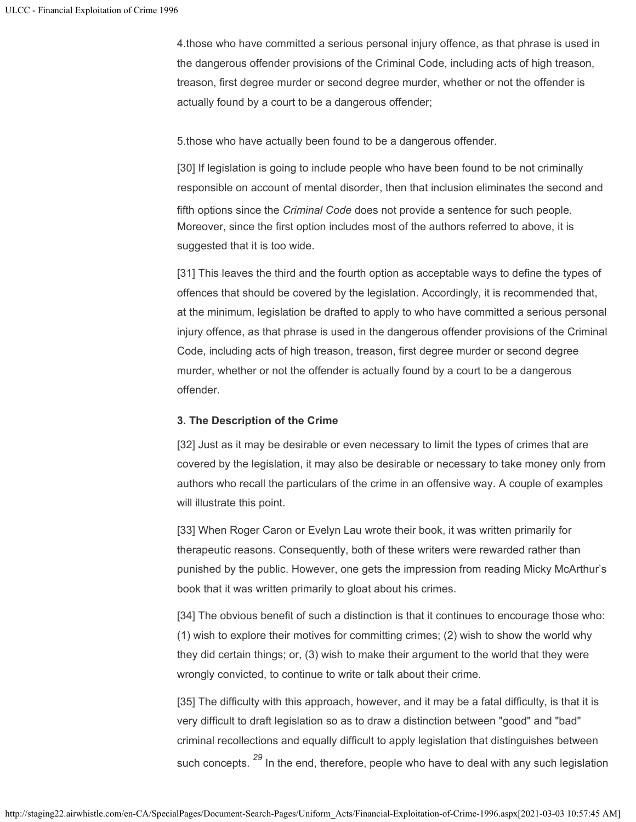4.those who have committed a serious personal injury offence, as that phrase is used in the dangerous offender provisions of the Criminal Code, including acts of high treason, treason, first degree murder or second degree murder, whether or not the offender is actually found by a court to be a dangerous offender;

5.those who have actually been found to be a dangerous offender.

[30] If legislation is going to include people who have been found to be not criminally responsible on account of mental disorder, then that inclusion eliminates the second and fifth options since the *Criminal Code* does not provide a sentence for such people. Moreover, since the first option includes most of the authors referred to above, it is suggested that it is too wide.

[31] This leaves the third and the fourth option as acceptable ways to define the types of offences that should be covered by the legislation. Accordingly, it is recommended that, at the minimum, legislation be drafted to apply to who have committed a serious personal injury offence, as that phrase is used in the dangerous offender provisions of the Criminal Code, including acts of high treason, treason, first degree murder or second degree murder, whether or not the offender is actually found by a court to be a dangerous offender.

# **3. The Description of the Crime**

[32] Just as it may be desirable or even necessary to limit the types of crimes that are covered by the legislation, it may also be desirable or necessary to take money only from authors who recall the particulars of the crime in an offensive way. A couple of examples will illustrate this point.

[33] When Roger Caron or Evelyn Lau wrote their book, it was written primarily for therapeutic reasons. Consequently, both of these writers were rewarded rather than punished by the public. However, one gets the impression from reading Micky McArthur's book that it was written primarily to gloat about his crimes.

[34] The obvious benefit of such a distinction is that it continues to encourage those who: (1) wish to explore their motives for committing crimes; (2) wish to show the world why they did certain things; or, (3) wish to make their argument to the world that they were wrongly convicted, to continue to write or talk about their crime.

[35] The difficulty with this approach, however, and it may be a fatal difficulty, is that it is very difficult to draft legislation so as to draw a distinction between "good" and "bad" criminal recollections and equally difficult to apply legislation that distinguishes between such concepts. <sup>29</sup> In the end, therefore, people who have to deal with any such legislation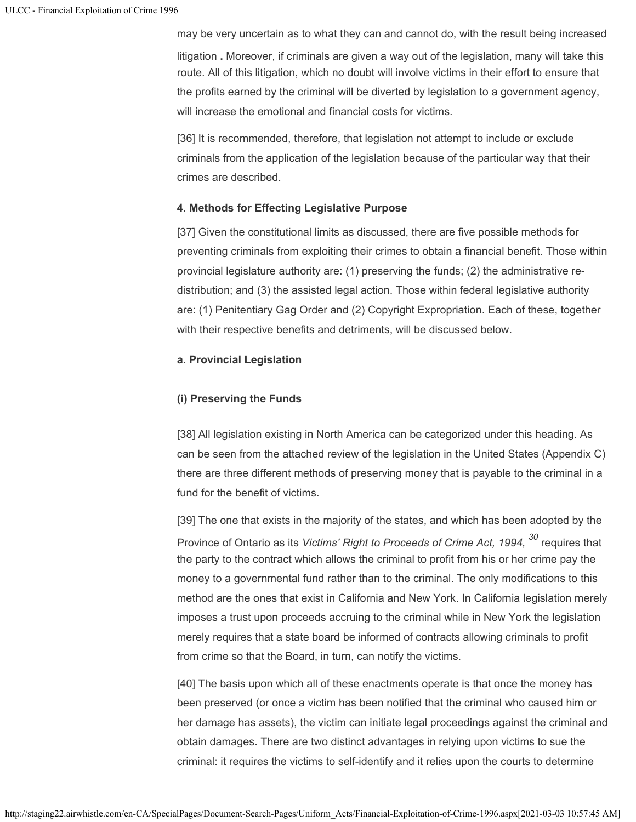may be very uncertain as to what they can and cannot do, with the result being increased litigation **.** Moreover, if criminals are given a way out of the legislation, many will take this route. All of this litigation, which no doubt will involve victims in their effort to ensure that the profits earned by the criminal will be diverted by legislation to a government agency, will increase the emotional and financial costs for victims.

[36] It is recommended, therefore, that legislation not attempt to include or exclude criminals from the application of the legislation because of the particular way that their crimes are described.

## **4. Methods for Effecting Legislative Purpose**

[37] Given the constitutional limits as discussed, there are five possible methods for preventing criminals from exploiting their crimes to obtain a financial benefit. Those within provincial legislature authority are: (1) preserving the funds; (2) the administrative redistribution; and (3) the assisted legal action. Those within federal legislative authority are: (1) Penitentiary Gag Order and (2) Copyright Expropriation. Each of these, together with their respective benefits and detriments, will be discussed below.

## **a. Provincial Legislation**

## **(i) Preserving the Funds**

[38] All legislation existing in North America can be categorized under this heading. As can be seen from the attached review of the legislation in the United States (Appendix C) there are three different methods of preserving money that is payable to the criminal in a fund for the benefit of victims.

[39] The one that exists in the majority of the states, and which has been adopted by the Province of Ontario as its *Victims' Right to Proceeds of Crime Act, 1994,* requires that *30*the party to the contract which allows the criminal to profit from his or her crime pay the money to a governmental fund rather than to the criminal. The only modifications to this method are the ones that exist in California and New York. In California legislation merely imposes a trust upon proceeds accruing to the criminal while in New York the legislation merely requires that a state board be informed of contracts allowing criminals to profit from crime so that the Board, in turn, can notify the victims.

[40] The basis upon which all of these enactments operate is that once the money has been preserved (or once a victim has been notified that the criminal who caused him or her damage has assets), the victim can initiate legal proceedings against the criminal and obtain damages. There are two distinct advantages in relying upon victims to sue the criminal: it requires the victims to self-identify and it relies upon the courts to determine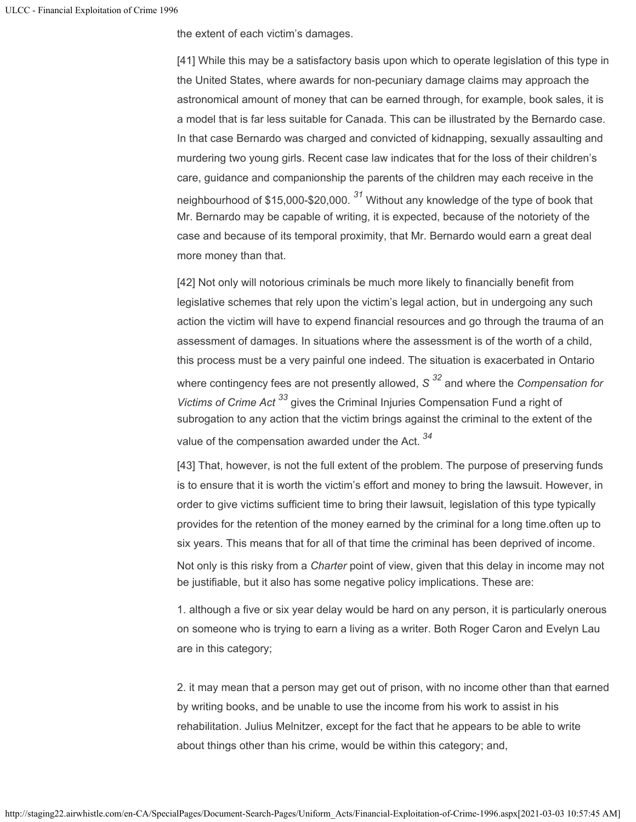the extent of each victim's damages.

[41] While this may be a satisfactory basis upon which to operate legislation of this type in the United States, where awards for non-pecuniary damage claims may approach the astronomical amount of money that can be earned through, for example, book sales, it is a model that is far less suitable for Canada. This can be illustrated by the Bernardo case. In that case Bernardo was charged and convicted of kidnapping, sexually assaulting and murdering two young girls. Recent case law indicates that for the loss of their children's care, guidance and companionship the parents of the children may each receive in the neighbourhood of \$15,000-\$20,000. <sup>31</sup> Without any knowledge of the type of book that Mr. Bernardo may be capable of writing, it is expected, because of the notoriety of the case and because of its temporal proximity, that Mr. Bernardo would earn a great deal more money than that.

[42] Not only will notorious criminals be much more likely to financially benefit from legislative schemes that rely upon the victim's legal action, but in undergoing any such action the victim will have to expend financial resources and go through the trauma of an assessment of damages. In situations where the assessment is of the worth of a child, this process must be a very painful one indeed. The situation is exacerbated in Ontario where contingency fees are not presently allowed, S <sup>32</sup> and where the *Compensation for* Victims of Crime Act<sup>33</sup> gives the Criminal Injuries Compensation Fund a right of subrogation to any action that the victim brings against the criminal to the extent of the value of the compensation awarded under the Act. *34*

[43] That, however, is not the full extent of the problem. The purpose of preserving funds is to ensure that it is worth the victim's effort and money to bring the lawsuit. However, in order to give victims sufficient time to bring their lawsuit, legislation of this type typically provides for the retention of the money earned by the criminal for a long time.often up to six years. This means that for all of that time the criminal has been deprived of income.

Not only is this risky from a *Charter* point of view, given that this delay in income may not be justifiable, but it also has some negative policy implications. These are:

1. although a five or six year delay would be hard on any person, it is particularly onerous on someone who is trying to earn a living as a writer. Both Roger Caron and Evelyn Lau are in this category;

2. it may mean that a person may get out of prison, with no income other than that earned by writing books, and be unable to use the income from his work to assist in his rehabilitation. Julius Melnitzer, except for the fact that he appears to be able to write about things other than his crime, would be within this category; and,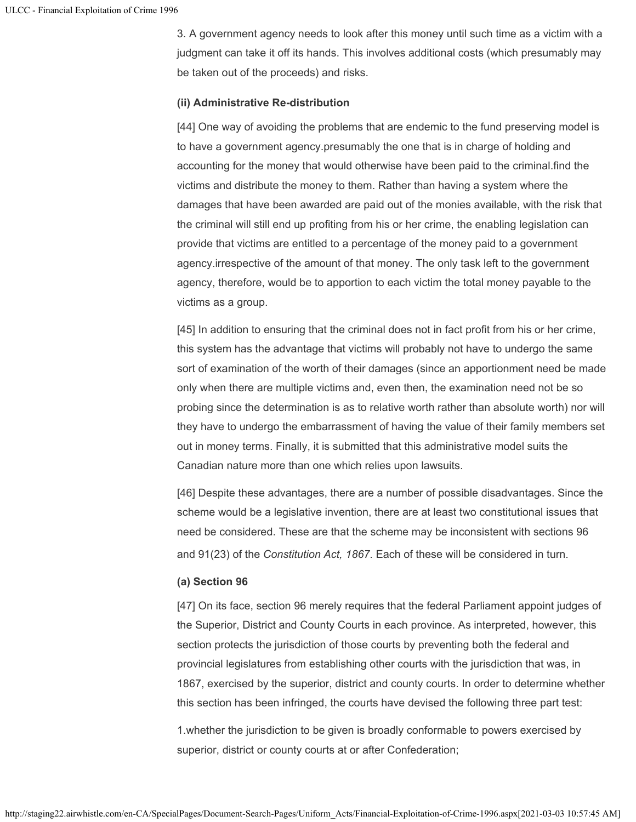3. A government agency needs to look after this money until such time as a victim with a judgment can take it off its hands. This involves additional costs (which presumably may be taken out of the proceeds) and risks.

## **(ii) Administrative Re-distribution**

[44] One way of avoiding the problems that are endemic to the fund preserving model is to have a government agency.presumably the one that is in charge of holding and accounting for the money that would otherwise have been paid to the criminal.find the victims and distribute the money to them. Rather than having a system where the damages that have been awarded are paid out of the monies available, with the risk that the criminal will still end up profiting from his or her crime, the enabling legislation can provide that victims are entitled to a percentage of the money paid to a government agency.irrespective of the amount of that money. The only task left to the government agency, therefore, would be to apportion to each victim the total money payable to the victims as a group.

[45] In addition to ensuring that the criminal does not in fact profit from his or her crime, this system has the advantage that victims will probably not have to undergo the same sort of examination of the worth of their damages (since an apportionment need be made only when there are multiple victims and, even then, the examination need not be so probing since the determination is as to relative worth rather than absolute worth) nor will they have to undergo the embarrassment of having the value of their family members set out in money terms. Finally, it is submitted that this administrative model suits the Canadian nature more than one which relies upon lawsuits.

[46] Despite these advantages, there are a number of possible disadvantages. Since the scheme would be a legislative invention, there are at least two constitutional issues that need be considered. These are that the scheme may be inconsistent with sections 96 and 91(23) of the *Constitution Act, 1867*. Each of these will be considered in turn.

## **(a) Section 96**

[47] On its face, section 96 merely requires that the federal Parliament appoint judges of the Superior, District and County Courts in each province. As interpreted, however, this section protects the jurisdiction of those courts by preventing both the federal and provincial legislatures from establishing other courts with the jurisdiction that was, in 1867, exercised by the superior, district and county courts. In order to determine whether this section has been infringed, the courts have devised the following three part test:

1.whether the jurisdiction to be given is broadly conformable to powers exercised by superior, district or county courts at or after Confederation;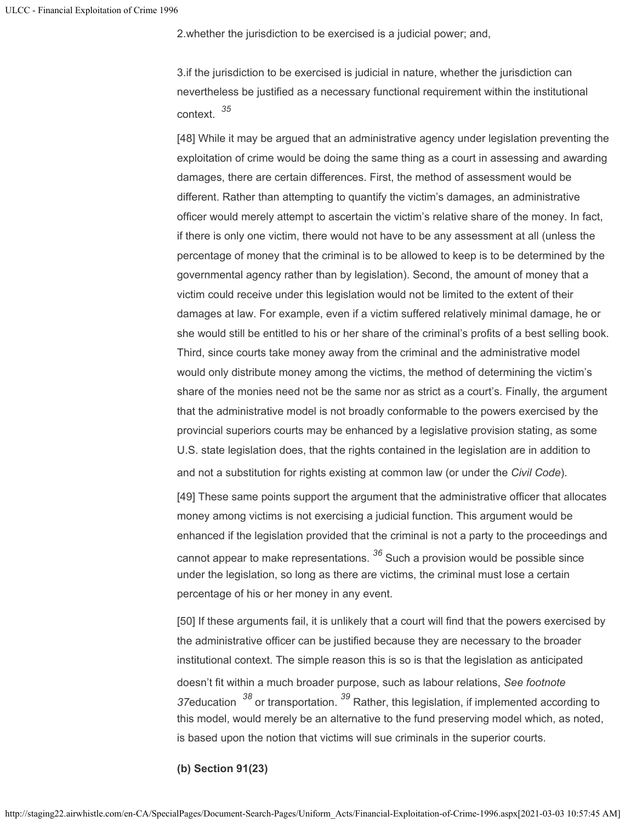2.whether the jurisdiction to be exercised is a judicial power; and,

3.if the jurisdiction to be exercised is judicial in nature, whether the jurisdiction can nevertheless be justified as a necessary functional requirement within the institutional context. *35*

[48] While it may be argued that an administrative agency under legislation preventing the exploitation of crime would be doing the same thing as a court in assessing and awarding damages, there are certain differences. First, the method of assessment would be different. Rather than attempting to quantify the victim's damages, an administrative officer would merely attempt to ascertain the victim's relative share of the money. In fact, if there is only one victim, there would not have to be any assessment at all (unless the percentage of money that the criminal is to be allowed to keep is to be determined by the governmental agency rather than by legislation). Second, the amount of money that a victim could receive under this legislation would not be limited to the extent of their damages at law. For example, even if a victim suffered relatively minimal damage, he or she would still be entitled to his or her share of the criminal's profits of a best selling book. Third, since courts take money away from the criminal and the administrative model would only distribute money among the victims, the method of determining the victim's share of the monies need not be the same nor as strict as a court's. Finally, the argument that the administrative model is not broadly conformable to the powers exercised by the provincial superiors courts may be enhanced by a legislative provision stating, as some U.S. state legislation does, that the rights contained in the legislation are in addition to and not a substitution for rights existing at common law (or under the *Civil Code*).

[49] These same points support the argument that the administrative officer that allocates money among victims is not exercising a judicial function. This argument would be enhanced if the legislation provided that the criminal is not a party to the proceedings and cannot appear to make representations. <sup>36</sup> Such a provision would be possible since under the legislation, so long as there are victims, the criminal must lose a certain percentage of his or her money in any event.

[50] If these arguments fail, it is unlikely that a court will find that the powers exercised by the administrative officer can be justified because they are necessary to the broader institutional context. The simple reason this is so is that the legislation as anticipated doesn't fit within a much broader purpose, such as labour relations, *See footnote* 37education <sup>38</sup> or transportation. <sup>39</sup> Rather, this legislation, if implemented according to this model, would merely be an alternative to the fund preserving model which, as noted, is based upon the notion that victims will sue criminals in the superior courts.

**(b) Section 91(23)**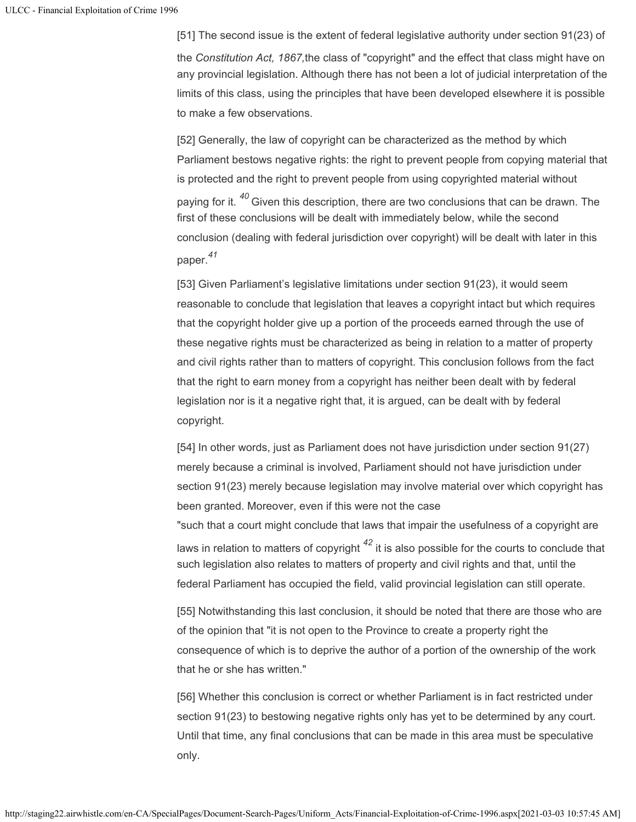[51] The second issue is the extent of federal legislative authority under section 91(23) of the *Constitution Act, 1867,*the class of "copyright" and the effect that class might have on any provincial legislation. Although there has not been a lot of judicial interpretation of the limits of this class, using the principles that have been developed elsewhere it is possible to make a few observations.

[52] Generally, the law of copyright can be characterized as the method by which Parliament bestows negative rights: the right to prevent people from copying material that is protected and the right to prevent people from using copyrighted material without paying for it. <sup>40</sup> Given this description, there are two conclusions that can be drawn. The first of these conclusions will be dealt with immediately below, while the second conclusion (dealing with federal jurisdiction over copyright) will be dealt with later in this paper. *41*

[53] Given Parliament's legislative limitations under section 91(23), it would seem reasonable to conclude that legislation that leaves a copyright intact but which requires that the copyright holder give up a portion of the proceeds earned through the use of these negative rights must be characterized as being in relation to a matter of property and civil rights rather than to matters of copyright. This conclusion follows from the fact that the right to earn money from a copyright has neither been dealt with by federal legislation nor is it a negative right that, it is argued, can be dealt with by federal copyright.

[54] In other words, just as Parliament does not have jurisdiction under section 91(27) merely because a criminal is involved, Parliament should not have jurisdiction under section 91(23) merely because legislation may involve material over which copyright has been granted. Moreover, even if this were not the case

"such that a court might conclude that laws that impair the usefulness of a copyright are laws in relation to matters of copyright  $^\mathit{42}$  it is also possible for the courts to conclude that such legislation also relates to matters of property and civil rights and that, until the federal Parliament has occupied the field, valid provincial legislation can still operate.

[55] Notwithstanding this last conclusion, it should be noted that there are those who are of the opinion that "it is not open to the Province to create a property right the consequence of which is to deprive the author of a portion of the ownership of the work that he or she has written."

[56] Whether this conclusion is correct or whether Parliament is in fact restricted under section 91(23) to bestowing negative rights only has yet to be determined by any court. Until that time, any final conclusions that can be made in this area must be speculative only.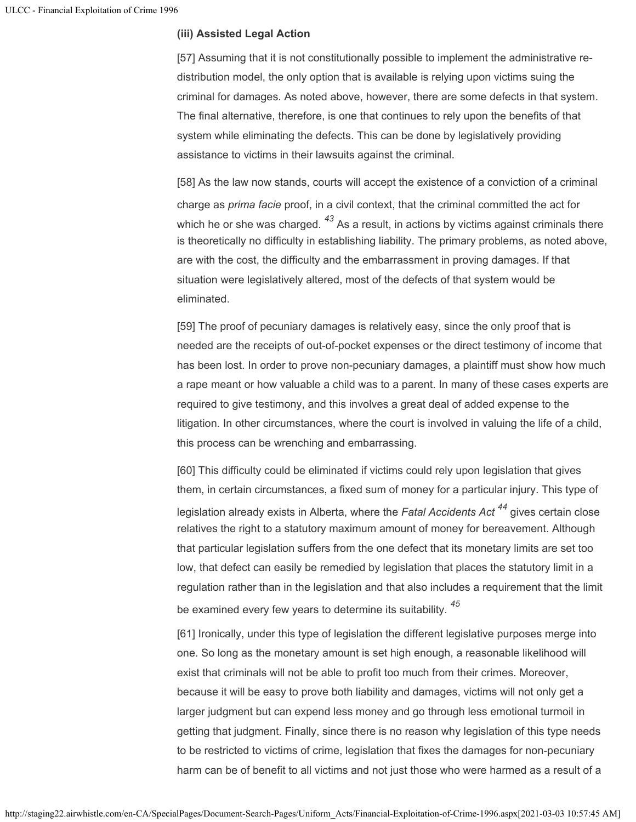# **(iii) Assisted Legal Action**

[57] Assuming that it is not constitutionally possible to implement the administrative redistribution model, the only option that is available is relying upon victims suing the criminal for damages. As noted above, however, there are some defects in that system. The final alternative, therefore, is one that continues to rely upon the benefits of that system while eliminating the defects. This can be done by legislatively providing assistance to victims in their lawsuits against the criminal.

[58] As the law now stands, courts will accept the existence of a conviction of a criminal charge as *prima facie* proof, in a civil context, that the criminal committed the act for which he or she was charged.  $^{43}$  As a result, in actions by victims against criminals there is theoretically no difficulty in establishing liability. The primary problems, as noted above, are with the cost, the difficulty and the embarrassment in proving damages. If that situation were legislatively altered, most of the defects of that system would be eliminated.

[59] The proof of pecuniary damages is relatively easy, since the only proof that is needed are the receipts of out-of-pocket expenses or the direct testimony of income that has been lost. In order to prove non-pecuniary damages, a plaintiff must show how much a rape meant or how valuable a child was to a parent. In many of these cases experts are required to give testimony, and this involves a great deal of added expense to the litigation. In other circumstances, where the court is involved in valuing the life of a child, this process can be wrenching and embarrassing.

[60] This difficulty could be eliminated if victims could rely upon legislation that gives them, in certain circumstances, a fixed sum of money for a particular injury. This type of legislation already exists in Alberta, where the *Fatal Accidents Act <sup>44</sup> g*ives certain close relatives the right to a statutory maximum amount of money for bereavement. Although that particular legislation suffers from the one defect that its monetary limits are set too low, that defect can easily be remedied by legislation that places the statutory limit in a regulation rather than in the legislation and that also includes a requirement that the limit be examined every few years to determine its suitability. *45*

[61] Ironically, under this type of legislation the different legislative purposes merge into one. So long as the monetary amount is set high enough, a reasonable likelihood will exist that criminals will not be able to profit too much from their crimes. Moreover, because it will be easy to prove both liability and damages, victims will not only get a larger judgment but can expend less money and go through less emotional turmoil in getting that judgment. Finally, since there is no reason why legislation of this type needs to be restricted to victims of crime, legislation that fixes the damages for non-pecuniary harm can be of benefit to all victims and not just those who were harmed as a result of a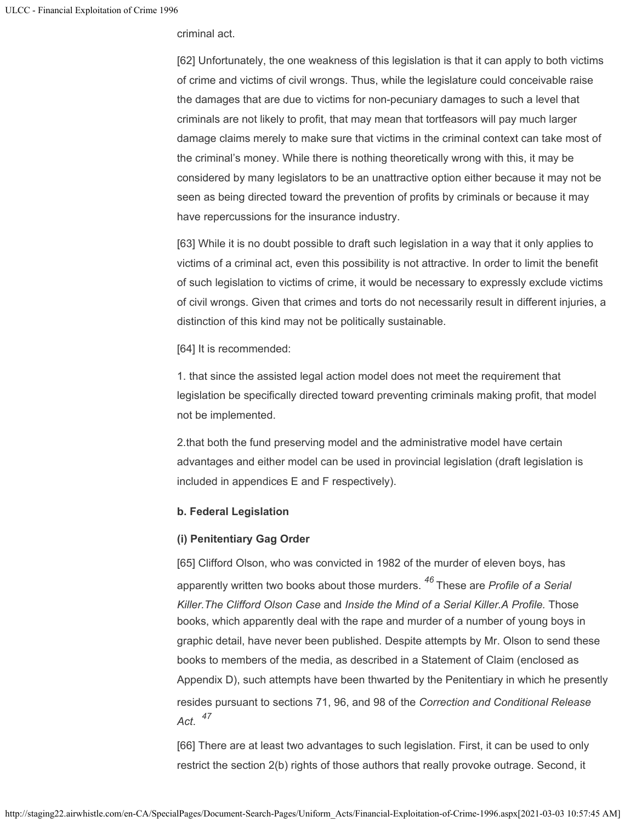criminal act.

[62] Unfortunately, the one weakness of this legislation is that it can apply to both victims of crime and victims of civil wrongs. Thus, while the legislature could conceivable raise the damages that are due to victims for non-pecuniary damages to such a level that criminals are not likely to profit, that may mean that tortfeasors will pay much larger damage claims merely to make sure that victims in the criminal context can take most of the criminal's money. While there is nothing theoretically wrong with this, it may be considered by many legislators to be an unattractive option either because it may not be seen as being directed toward the prevention of profits by criminals or because it may have repercussions for the insurance industry.

[63] While it is no doubt possible to draft such legislation in a way that it only applies to victims of a criminal act, even this possibility is not attractive. In order to limit the benefit of such legislation to victims of crime, it would be necessary to expressly exclude victims of civil wrongs. Given that crimes and torts do not necessarily result in different injuries, a distinction of this kind may not be politically sustainable.

[64] It is recommended:

1. that since the assisted legal action model does not meet the requirement that legislation be specifically directed toward preventing criminals making profit, that model not be implemented.

2.that both the fund preserving model and the administrative model have certain advantages and either model can be used in provincial legislation (draft legislation is included in appendices E and F respectively).

## **b. Federal Legislation**

## **(i) Penitentiary Gag Order**

[65] Clifford Olson, who was convicted in 1982 of the murder of eleven boys, has apparently written two books about those murders. <sup>46</sup> These are *Profile of a Serial Killer.The Clifford Olson Case* and *Inside the Mind of a Serial Killer.A Profile.* Those books, which apparently deal with the rape and murder of a number of young boys in graphic detail, have never been published. Despite attempts by Mr. Olson to send these books to members of the media, as described in a Statement of Claim (enclosed as Appendix D), such attempts have been thwarted by the Penitentiary in which he presently resides pursuant to sections 71, 96, and 98 of the *Correction and Conditional Release Act*. *47*

[66] There are at least two advantages to such legislation. First, it can be used to only restrict the section 2(b) rights of those authors that really provoke outrage. Second, it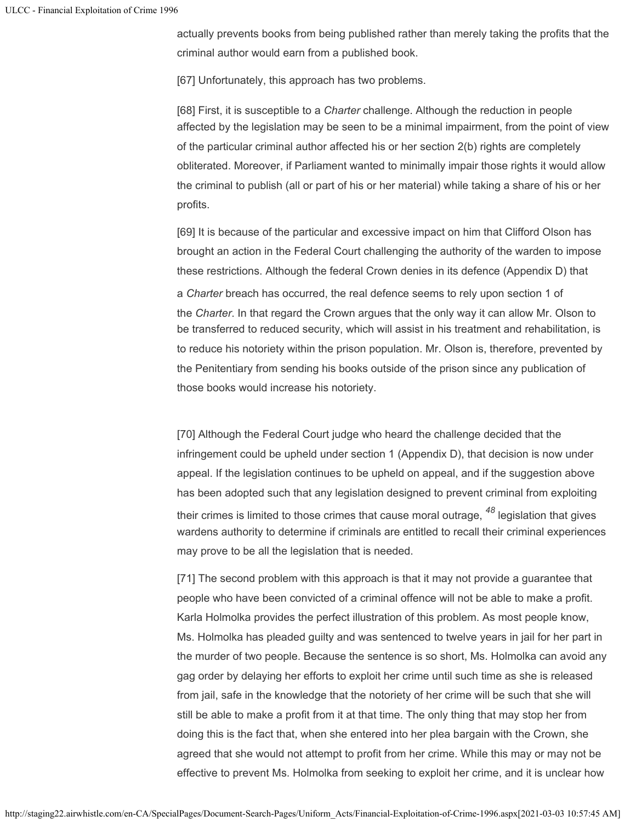actually prevents books from being published rather than merely taking the profits that the criminal author would earn from a published book.

[67] Unfortunately, this approach has two problems.

[68] First, it is susceptible to a *Charter* challenge. Although the reduction in people affected by the legislation may be seen to be a minimal impairment, from the point of view of the particular criminal author affected his or her section 2(b) rights are completely obliterated. Moreover, if Parliament wanted to minimally impair those rights it would allow the criminal to publish (all or part of his or her material) while taking a share of his or her profits.

[69] It is because of the particular and excessive impact on him that Clifford Olson has brought an action in the Federal Court challenging the authority of the warden to impose these restrictions. Although the federal Crown denies in its defence (Appendix D) that

a *Charter* breach has occurred, the real defence seems to rely upon section 1 of the *Charter*. In that regard the Crown argues that the only way it can allow Mr. Olson to be transferred to reduced security, which will assist in his treatment and rehabilitation, is to reduce his notoriety within the prison population. Mr. Olson is, therefore, prevented by the Penitentiary from sending his books outside of the prison since any publication of those books would increase his notoriety.

[70] Although the Federal Court judge who heard the challenge decided that the infringement could be upheld under section 1 (Appendix D), that decision is now under appeal. If the legislation continues to be upheld on appeal, and if the suggestion above has been adopted such that any legislation designed to prevent criminal from exploiting their crimes is limited to those crimes that cause moral outrage, <sup>48</sup> legislation that gives wardens authority to determine if criminals are entitled to recall their criminal experiences may prove to be all the legislation that is needed.

[71] The second problem with this approach is that it may not provide a guarantee that people who have been convicted of a criminal offence will not be able to make a profit. Karla Holmolka provides the perfect illustration of this problem. As most people know, Ms. Holmolka has pleaded guilty and was sentenced to twelve years in jail for her part in the murder of two people. Because the sentence is so short, Ms. Holmolka can avoid any gag order by delaying her efforts to exploit her crime until such time as she is released from jail, safe in the knowledge that the notoriety of her crime will be such that she will still be able to make a profit from it at that time. The only thing that may stop her from doing this is the fact that, when she entered into her plea bargain with the Crown, she agreed that she would not attempt to profit from her crime. While this may or may not be effective to prevent Ms. Holmolka from seeking to exploit her crime, and it is unclear how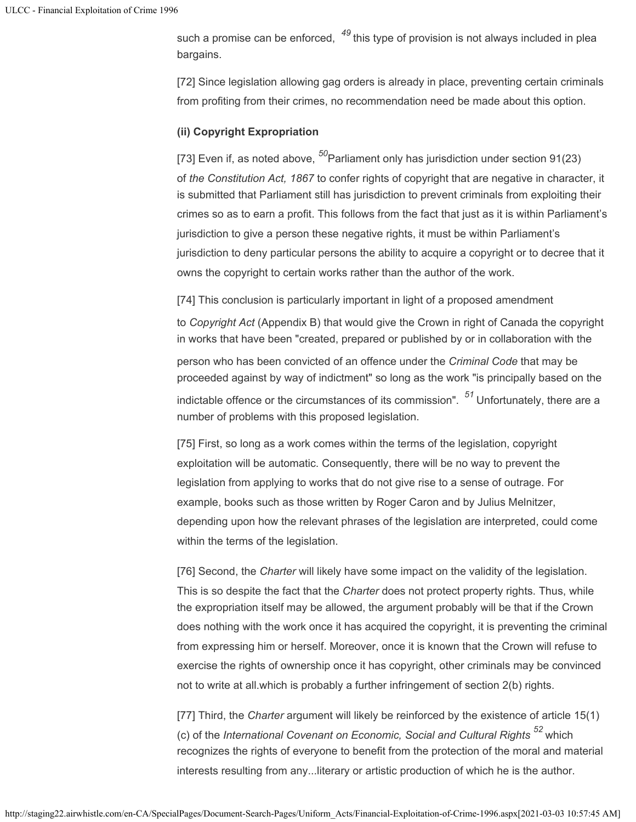such a promise can be enforced, <sup>49</sup> this type of provision is not always included in plea bargains.

[72] Since legislation allowing gag orders is already in place, preventing certain criminals from profiting from their crimes, no recommendation need be made about this option.

## **(ii) Copyright Expropriation**

[73] Even if, as noted above, <sup>50</sup>Parliament only has jurisdiction under section 91(23) of *the Constitution Act, 1867* to confer rights of copyright that are negative in character, it is submitted that Parliament still has jurisdiction to prevent criminals from exploiting their crimes so as to earn a profit. This follows from the fact that just as it is within Parliament's jurisdiction to give a person these negative rights, it must be within Parliament's jurisdiction to deny particular persons the ability to acquire a copyright or to decree that it owns the copyright to certain works rather than the author of the work.

[74] This conclusion is particularly important in light of a proposed amendment

to *Copyright Act* (Appendix B) that would give the Crown in right of Canada the copyright in works that have been "created, prepared or published by or in collaboration with the

person who has been convicted of an offence under the *Criminal Code* that may be proceeded against by way of indictment" so long as the work "is principally based on the indictable offence or the circumstances of its commission". <sup>51</sup> Unfortunately, there are a number of problems with this proposed legislation.

[75] First, so long as a work comes within the terms of the legislation, copyright exploitation will be automatic. Consequently, there will be no way to prevent the legislation from applying to works that do not give rise to a sense of outrage. For example, books such as those written by Roger Caron and by Julius Melnitzer, depending upon how the relevant phrases of the legislation are interpreted, could come within the terms of the legislation.

[76] Second, the *Charter* will likely have some impact on the validity of the legislation. This is so despite the fact that the *Charter* does not protect property rights. Thus, while the expropriation itself may be allowed, the argument probably will be that if the Crown does nothing with the work once it has acquired the copyright, it is preventing the criminal from expressing him or herself. Moreover, once it is known that the Crown will refuse to exercise the rights of ownership once it has copyright, other criminals may be convinced not to write at all.which is probably a further infringement of section 2(b) rights.

[77] Third, the *Charter* argument will likely be reinforced by the existence of article 15(1) (c) of the *International Covenant on Economic, Social and Cultural Rights <sup>52</sup> which* recognizes the rights of everyone to benefit from the protection of the moral and material interests resulting from any...literary or artistic production of which he is the author.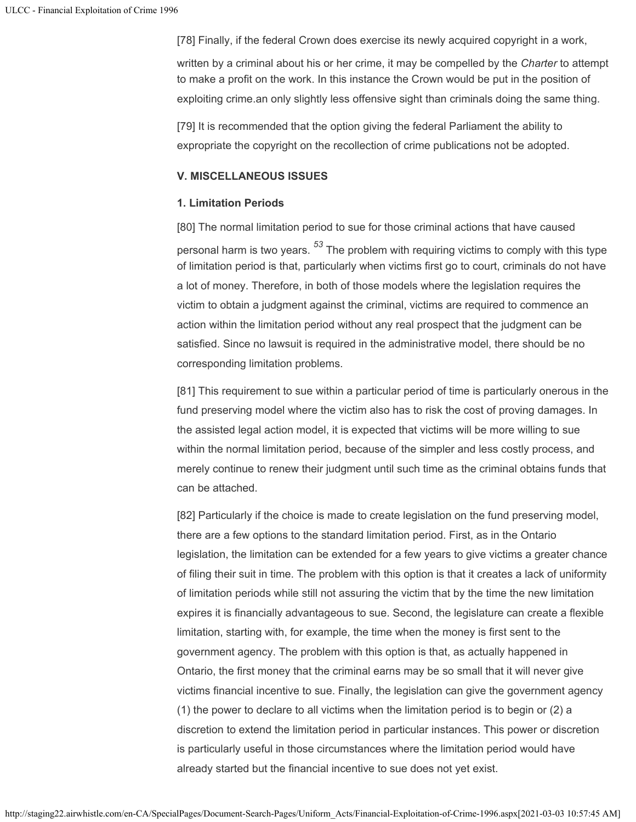[78] Finally, if the federal Crown does exercise its newly acquired copyright in a work,

written by a criminal about his or her crime, it may be compelled by the *Charter* to attempt to make a profit on the work. In this instance the Crown would be put in the position of exploiting crime.an only slightly less offensive sight than criminals doing the same thing.

[79] It is recommended that the option giving the federal Parliament the ability to expropriate the copyright on the recollection of crime publications not be adopted.

## **V. MISCELLANEOUS ISSUES**

## **1. Limitation Periods**

[80] The normal limitation period to sue for those criminal actions that have caused personal harm is two years. <sup>53</sup> The problem with requiring victims to comply with this type of limitation period is that, particularly when victims first go to court, criminals do not have a lot of money. Therefore, in both of those models where the legislation requires the victim to obtain a judgment against the criminal, victims are required to commence an action within the limitation period without any real prospect that the judgment can be satisfied. Since no lawsuit is required in the administrative model, there should be no corresponding limitation problems.

[81] This requirement to sue within a particular period of time is particularly onerous in the fund preserving model where the victim also has to risk the cost of proving damages. In the assisted legal action model, it is expected that victims will be more willing to sue within the normal limitation period, because of the simpler and less costly process, and merely continue to renew their judgment until such time as the criminal obtains funds that can be attached.

[82] Particularly if the choice is made to create legislation on the fund preserving model, there are a few options to the standard limitation period. First, as in the Ontario legislation, the limitation can be extended for a few years to give victims a greater chance of filing their suit in time. The problem with this option is that it creates a lack of uniformity of limitation periods while still not assuring the victim that by the time the new limitation expires it is financially advantageous to sue. Second, the legislature can create a flexible limitation, starting with, for example, the time when the money is first sent to the government agency. The problem with this option is that, as actually happened in Ontario, the first money that the criminal earns may be so small that it will never give victims financial incentive to sue. Finally, the legislation can give the government agency (1) the power to declare to all victims when the limitation period is to begin or (2) a discretion to extend the limitation period in particular instances. This power or discretion is particularly useful in those circumstances where the limitation period would have already started but the financial incentive to sue does not yet exist.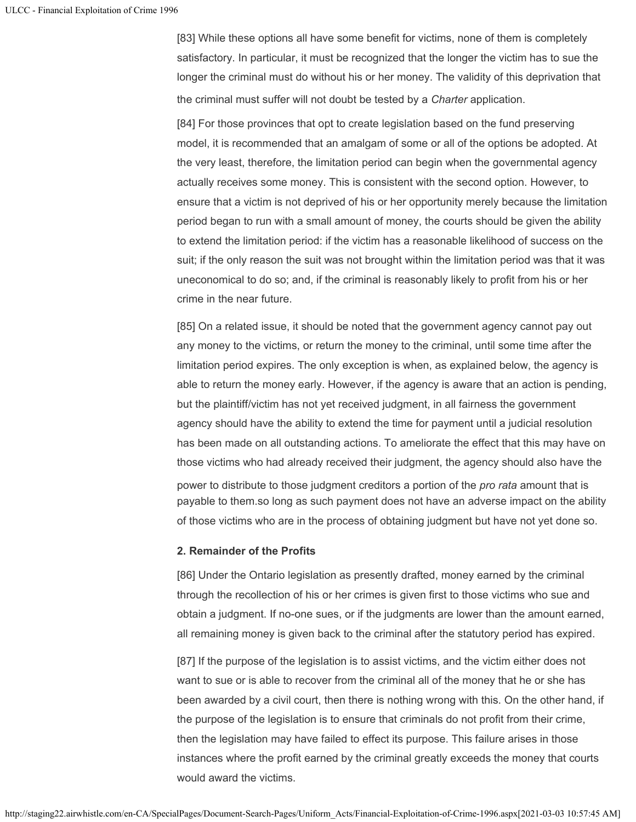[83] While these options all have some benefit for victims, none of them is completely satisfactory. In particular, it must be recognized that the longer the victim has to sue the longer the criminal must do without his or her money. The validity of this deprivation that the criminal must suffer will not doubt be tested by a *Charter* application.

[84] For those provinces that opt to create legislation based on the fund preserving model, it is recommended that an amalgam of some or all of the options be adopted. At the very least, therefore, the limitation period can begin when the governmental agency actually receives some money. This is consistent with the second option. However, to ensure that a victim is not deprived of his or her opportunity merely because the limitation period began to run with a small amount of money, the courts should be given the ability to extend the limitation period: if the victim has a reasonable likelihood of success on the suit; if the only reason the suit was not brought within the limitation period was that it was uneconomical to do so; and, if the criminal is reasonably likely to profit from his or her crime in the near future.

[85] On a related issue, it should be noted that the government agency cannot pay out any money to the victims, or return the money to the criminal, until some time after the limitation period expires. The only exception is when, as explained below, the agency is able to return the money early. However, if the agency is aware that an action is pending, but the plaintiff/victim has not yet received judgment, in all fairness the government agency should have the ability to extend the time for payment until a judicial resolution has been made on all outstanding actions. To ameliorate the effect that this may have on those victims who had already received their judgment, the agency should also have the power to distribute to those judgment creditors a portion of the *pro rata* amount that is payable to them.so long as such payment does not have an adverse impact on the ability of those victims who are in the process of obtaining judgment but have not yet done so.

## **2. Remainder of the Profits**

[86] Under the Ontario legislation as presently drafted, money earned by the criminal through the recollection of his or her crimes is given first to those victims who sue and obtain a judgment. If no-one sues, or if the judgments are lower than the amount earned, all remaining money is given back to the criminal after the statutory period has expired.

[87] If the purpose of the legislation is to assist victims, and the victim either does not want to sue or is able to recover from the criminal all of the money that he or she has been awarded by a civil court, then there is nothing wrong with this. On the other hand, if the purpose of the legislation is to ensure that criminals do not profit from their crime, then the legislation may have failed to effect its purpose. This failure arises in those instances where the profit earned by the criminal greatly exceeds the money that courts would award the victims.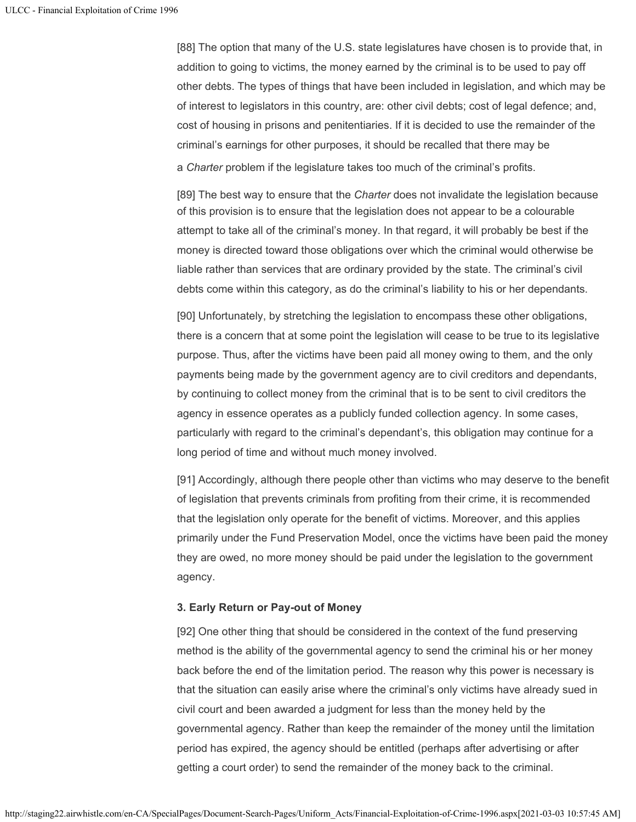[88] The option that many of the U.S. state legislatures have chosen is to provide that, in addition to going to victims, the money earned by the criminal is to be used to pay off other debts. The types of things that have been included in legislation, and which may be of interest to legislators in this country, are: other civil debts; cost of legal defence; and, cost of housing in prisons and penitentiaries. If it is decided to use the remainder of the criminal's earnings for other purposes, it should be recalled that there may be a *Charter* problem if the legislature takes too much of the criminal's profits.

[89] The best way to ensure that the *Charter* does not invalidate the legislation because of this provision is to ensure that the legislation does not appear to be a colourable attempt to take all of the criminal's money. In that regard, it will probably be best if the money is directed toward those obligations over which the criminal would otherwise be liable rather than services that are ordinary provided by the state. The criminal's civil debts come within this category, as do the criminal's liability to his or her dependants.

[90] Unfortunately, by stretching the legislation to encompass these other obligations, there is a concern that at some point the legislation will cease to be true to its legislative purpose. Thus, after the victims have been paid all money owing to them, and the only payments being made by the government agency are to civil creditors and dependants, by continuing to collect money from the criminal that is to be sent to civil creditors the agency in essence operates as a publicly funded collection agency. In some cases, particularly with regard to the criminal's dependant's, this obligation may continue for a long period of time and without much money involved.

[91] Accordingly, although there people other than victims who may deserve to the benefit of legislation that prevents criminals from profiting from their crime, it is recommended that the legislation only operate for the benefit of victims. Moreover, and this applies primarily under the Fund Preservation Model, once the victims have been paid the money they are owed, no more money should be paid under the legislation to the government agency.

## **3. Early Return or Pay-out of Money**

[92] One other thing that should be considered in the context of the fund preserving method is the ability of the governmental agency to send the criminal his or her money back before the end of the limitation period. The reason why this power is necessary is that the situation can easily arise where the criminal's only victims have already sued in civil court and been awarded a judgment for less than the money held by the governmental agency. Rather than keep the remainder of the money until the limitation period has expired, the agency should be entitled (perhaps after advertising or after getting a court order) to send the remainder of the money back to the criminal.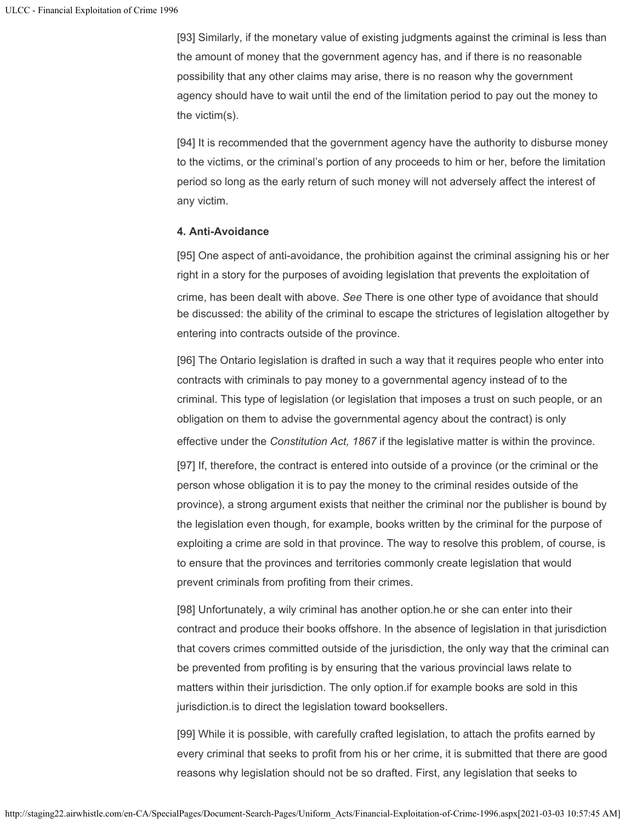[93] Similarly, if the monetary value of existing judgments against the criminal is less than the amount of money that the government agency has, and if there is no reasonable possibility that any other claims may arise, there is no reason why the government agency should have to wait until the end of the limitation period to pay out the money to the victim(s).

[94] It is recommended that the government agency have the authority to disburse money to the victims, or the criminal's portion of any proceeds to him or her, before the limitation period so long as the early return of such money will not adversely affect the interest of any victim.

#### **4. Anti-Avoidance**

[95] One aspect of anti-avoidance, the prohibition against the criminal assigning his or her right in a story for the purposes of avoiding legislation that prevents the exploitation of crime, has been dealt with above. *See* There is one other type of avoidance that should be discussed: the ability of the criminal to escape the strictures of legislation altogether by entering into contracts outside of the province.

[96] The Ontario legislation is drafted in such a way that it requires people who enter into contracts with criminals to pay money to a governmental agency instead of to the criminal. This type of legislation (or legislation that imposes a trust on such people, or an obligation on them to advise the governmental agency about the contract) is only effective under the *Constitution Act, 1867* if the legislative matter is within the province.

[97] If, therefore, the contract is entered into outside of a province (or the criminal or the person whose obligation it is to pay the money to the criminal resides outside of the province), a strong argument exists that neither the criminal nor the publisher is bound by the legislation even though, for example, books written by the criminal for the purpose of exploiting a crime are sold in that province. The way to resolve this problem, of course, is to ensure that the provinces and territories commonly create legislation that would prevent criminals from profiting from their crimes.

[98] Unfortunately, a wily criminal has another option.he or she can enter into their contract and produce their books offshore. In the absence of legislation in that jurisdiction that covers crimes committed outside of the jurisdiction, the only way that the criminal can be prevented from profiting is by ensuring that the various provincial laws relate to matters within their jurisdiction. The only option.if for example books are sold in this jurisdiction.is to direct the legislation toward booksellers.

[99] While it is possible, with carefully crafted legislation, to attach the profits earned by every criminal that seeks to profit from his or her crime, it is submitted that there are good reasons why legislation should not be so drafted. First, any legislation that seeks to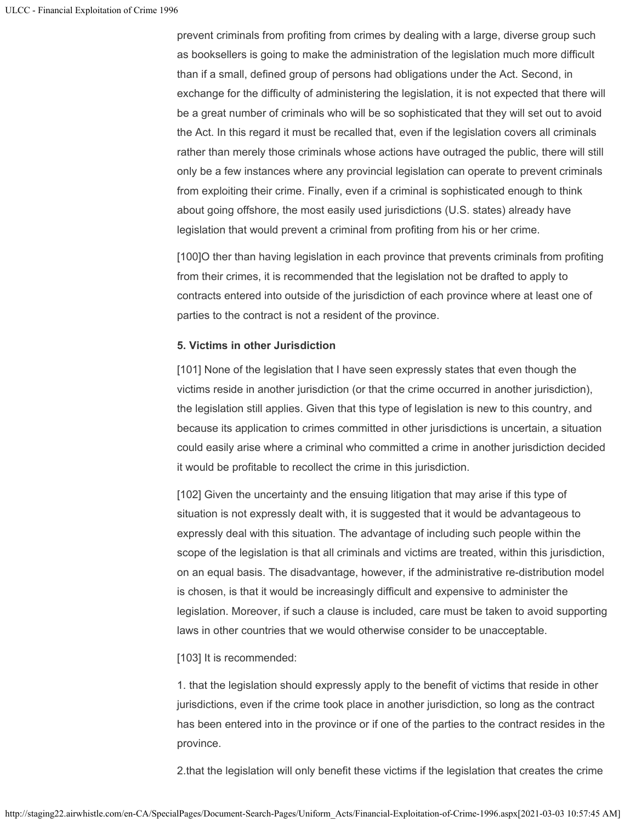prevent criminals from profiting from crimes by dealing with a large, diverse group such as booksellers is going to make the administration of the legislation much more difficult than if a small, defined group of persons had obligations under the Act. Second, in exchange for the difficulty of administering the legislation, it is not expected that there will be a great number of criminals who will be so sophisticated that they will set out to avoid the Act. In this regard it must be recalled that, even if the legislation covers all criminals rather than merely those criminals whose actions have outraged the public, there will still only be a few instances where any provincial legislation can operate to prevent criminals from exploiting their crime. Finally, even if a criminal is sophisticated enough to think about going offshore, the most easily used jurisdictions (U.S. states) already have legislation that would prevent a criminal from profiting from his or her crime.

[100]O ther than having legislation in each province that prevents criminals from profiting from their crimes, it is recommended that the legislation not be drafted to apply to contracts entered into outside of the jurisdiction of each province where at least one of parties to the contract is not a resident of the province.

## **5. Victims in other Jurisdiction**

[101] None of the legislation that I have seen expressly states that even though the victims reside in another jurisdiction (or that the crime occurred in another jurisdiction), the legislation still applies. Given that this type of legislation is new to this country, and because its application to crimes committed in other jurisdictions is uncertain, a situation could easily arise where a criminal who committed a crime in another jurisdiction decided it would be profitable to recollect the crime in this jurisdiction.

[102] Given the uncertainty and the ensuing litigation that may arise if this type of situation is not expressly dealt with, it is suggested that it would be advantageous to expressly deal with this situation. The advantage of including such people within the scope of the legislation is that all criminals and victims are treated, within this jurisdiction, on an equal basis. The disadvantage, however, if the administrative re-distribution model is chosen, is that it would be increasingly difficult and expensive to administer the legislation. Moreover, if such a clause is included, care must be taken to avoid supporting laws in other countries that we would otherwise consider to be unacceptable.

#### [103] It is recommended:

1. that the legislation should expressly apply to the benefit of victims that reside in other jurisdictions, even if the crime took place in another jurisdiction, so long as the contract has been entered into in the province or if one of the parties to the contract resides in the province.

2.that the legislation will only benefit these victims if the legislation that creates the crime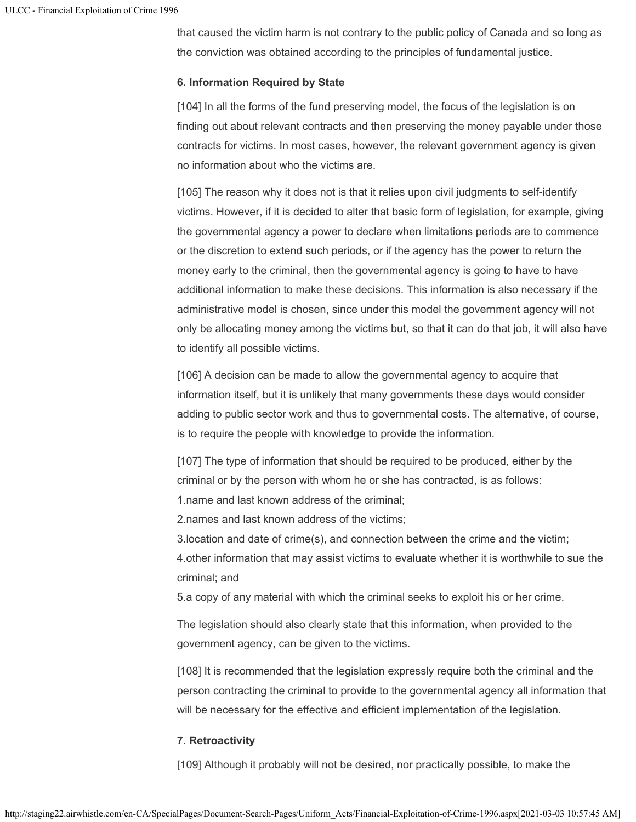that caused the victim harm is not contrary to the public policy of Canada and so long as the conviction was obtained according to the principles of fundamental justice.

## **6. Information Required by State**

[104] In all the forms of the fund preserving model, the focus of the legislation is on finding out about relevant contracts and then preserving the money payable under those contracts for victims. In most cases, however, the relevant government agency is given no information about who the victims are.

[105] The reason why it does not is that it relies upon civil judgments to self-identify victims. However, if it is decided to alter that basic form of legislation, for example, giving the governmental agency a power to declare when limitations periods are to commence or the discretion to extend such periods, or if the agency has the power to return the money early to the criminal, then the governmental agency is going to have to have additional information to make these decisions. This information is also necessary if the administrative model is chosen, since under this model the government agency will not only be allocating money among the victims but, so that it can do that job, it will also have to identify all possible victims.

[106] A decision can be made to allow the governmental agency to acquire that information itself, but it is unlikely that many governments these days would consider adding to public sector work and thus to governmental costs. The alternative, of course, is to require the people with knowledge to provide the information.

[107] The type of information that should be required to be produced, either by the criminal or by the person with whom he or she has contracted, is as follows:

1.name and last known address of the criminal;

2.names and last known address of the victims;

3.location and date of crime(s), and connection between the crime and the victim; 4.other information that may assist victims to evaluate whether it is worthwhile to sue the criminal; and

5.a copy of any material with which the criminal seeks to exploit his or her crime.

The legislation should also clearly state that this information, when provided to the government agency, can be given to the victims.

[108] It is recommended that the legislation expressly require both the criminal and the person contracting the criminal to provide to the governmental agency all information that will be necessary for the effective and efficient implementation of the legislation.

# **7. Retroactivity**

[109] Although it probably will not be desired, nor practically possible, to make the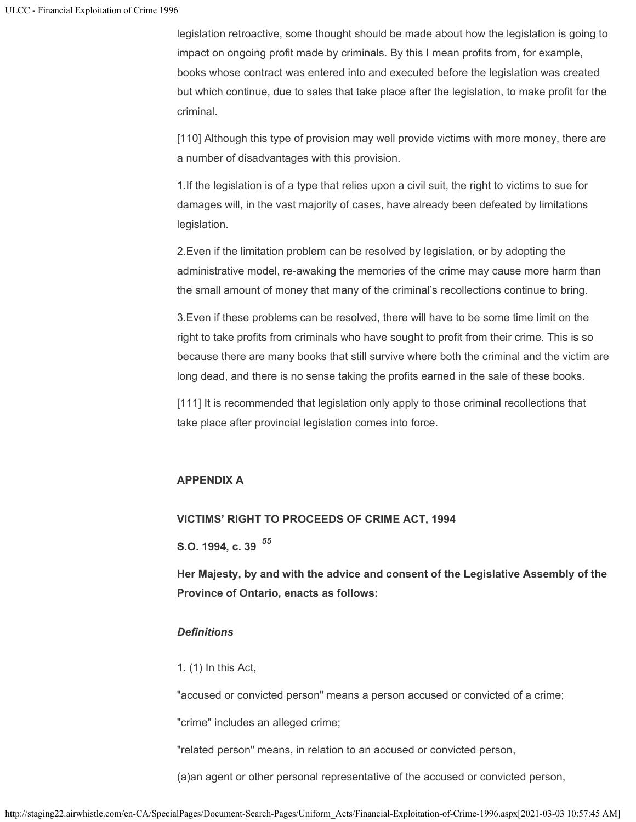legislation retroactive, some thought should be made about how the legislation is going to impact on ongoing profit made by criminals. By this I mean profits from, for example, books whose contract was entered into and executed before the legislation was created but which continue, due to sales that take place after the legislation, to make profit for the criminal.

[110] Although this type of provision may well provide victims with more money, there are a number of disadvantages with this provision.

1.If the legislation is of a type that relies upon a civil suit, the right to victims to sue for damages will, in the vast majority of cases, have already been defeated by limitations legislation.

2.Even if the limitation problem can be resolved by legislation, or by adopting the administrative model, re-awaking the memories of the crime may cause more harm than the small amount of money that many of the criminal's recollections continue to bring.

3.Even if these problems can be resolved, there will have to be some time limit on the right to take profits from criminals who have sought to profit from their crime. This is so because there are many books that still survive where both the criminal and the victim are long dead, and there is no sense taking the profits earned in the sale of these books.

[111] It is recommended that legislation only apply to those criminal recollections that take place after provincial legislation comes into force.

# **APPENDIX A**

# **VICTIMS' RIGHT TO PROCEEDS OF CRIME ACT, 1994**

**S.O. 1994, c. 39** *55*

**Her Majesty, by and with the advice and consent of the Legislative Assembly of the Province of Ontario, enacts as follows:**

# *Definitions*

1. (1) In this Act,

"accused or convicted person" means a person accused or convicted of a crime;

"crime" includes an alleged crime;

"related person" means, in relation to an accused or convicted person,

(a)an agent or other personal representative of the accused or convicted person,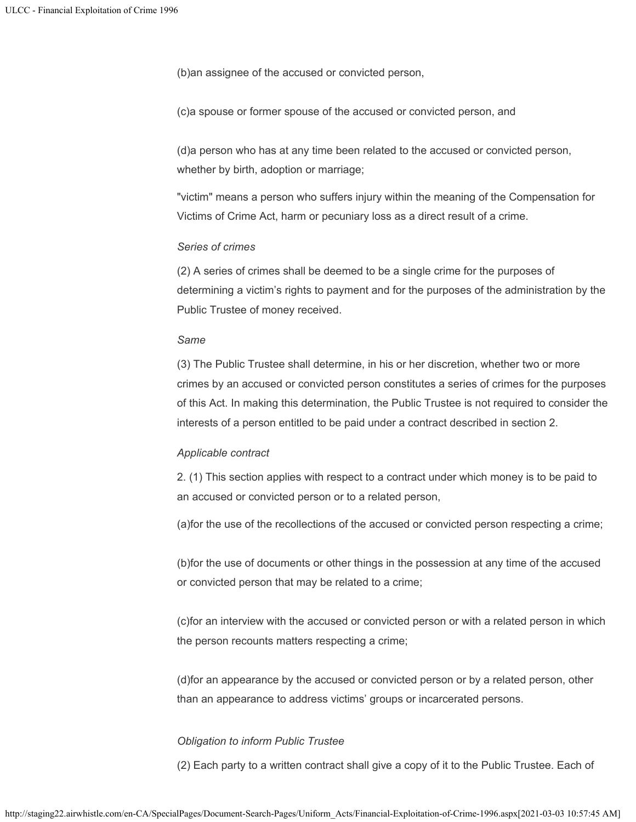(b)an assignee of the accused or convicted person,

(c)a spouse or former spouse of the accused or convicted person, and

(d)a person who has at any time been related to the accused or convicted person, whether by birth, adoption or marriage;

"victim" means a person who suffers injury within the meaning of the Compensation for Victims of Crime Act, harm or pecuniary loss as a direct result of a crime.

#### *Series of crimes*

(2) A series of crimes shall be deemed to be a single crime for the purposes of determining a victim's rights to payment and for the purposes of the administration by the Public Trustee of money received.

#### *Same*

(3) The Public Trustee shall determine, in his or her discretion, whether two or more crimes by an accused or convicted person constitutes a series of crimes for the purposes of this Act. In making this determination, the Public Trustee is not required to consider the interests of a person entitled to be paid under a contract described in section 2.

#### *Applicable contract*

2. (1) This section applies with respect to a contract under which money is to be paid to an accused or convicted person or to a related person,

(a)for the use of the recollections of the accused or convicted person respecting a crime;

(b)for the use of documents or other things in the possession at any time of the accused or convicted person that may be related to a crime;

(c)for an interview with the accused or convicted person or with a related person in which the person recounts matters respecting a crime;

(d)for an appearance by the accused or convicted person or by a related person, other than an appearance to address victims' groups or incarcerated persons.

#### *Obligation to inform Public Trustee*

(2) Each party to a written contract shall give a copy of it to the Public Trustee. Each of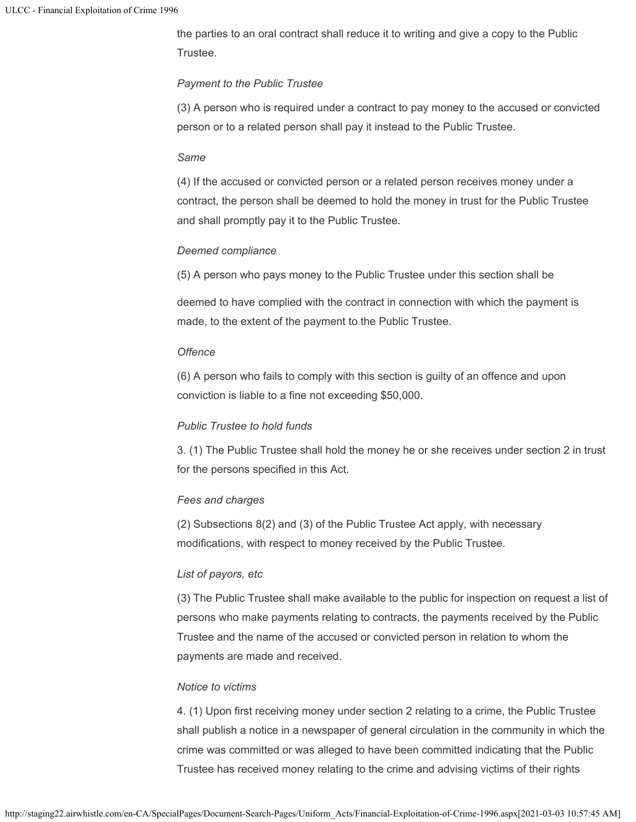the parties to an oral contract shall reduce it to writing and give a copy to the Public Trustee.

## *Payment to the Public Trustee*

(3) A person who is required under a contract to pay money to the accused or convicted person or to a related person shall pay it instead to the Public Trustee.

#### *Same*

(4) If the accused or convicted person or a related person receives money under a contract, the person shall be deemed to hold the money in trust for the Public Trustee and shall promptly pay it to the Public Trustee.

## *Deemed compliance*

(5) A person who pays money to the Public Trustee under this section shall be

deemed to have complied with the contract in connection with which the payment is made, to the extent of the payment to the Public Trustee.

## *Offence*

(6) A person who fails to comply with this section is guilty of an offence and upon conviction is liable to a fine not exceeding \$50,000.

## *Public Trustee to hold funds*

3. (1) The Public Trustee shall hold the money he or she receives under section 2 in trust for the persons specified in this Act.

## *Fees and charges*

(2) Subsections 8(2) and (3) of the Public Trustee Act apply, with necessary modifications, with respect to money received by the Public Trustee.

## *List of payors, etc*

(3) The Public Trustee shall make available to the public for inspection on request a list of persons who make payments relating to contracts, the payments received by the Public Trustee and the name of the accused or convicted person in relation to whom the payments are made and received.

## *Notice to victims*

4. (1) Upon first receiving money under section 2 relating to a crime, the Public Trustee shall publish a notice in a newspaper of general circulation in the community in which the crime was committed or was alleged to have been committed indicating that the Public Trustee has received money relating to the crime and advising victims of their rights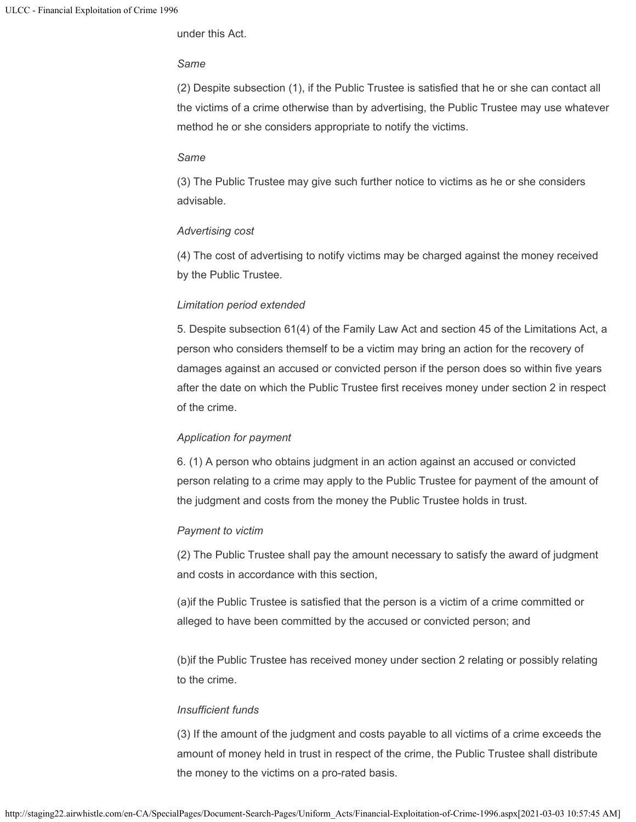under this Act.

## *Same*

(2) Despite subsection (1), if the Public Trustee is satisfied that he or she can contact all the victims of a crime otherwise than by advertising, the Public Trustee may use whatever method he or she considers appropriate to notify the victims.

#### *Same*

(3) The Public Trustee may give such further notice to victims as he or she considers advisable.

## *Advertising cost*

(4) The cost of advertising to notify victims may be charged against the money received by the Public Trustee.

## *Limitation period extended*

5. Despite subsection 61(4) of the Family Law Act and section 45 of the Limitations Act, a person who considers themself to be a victim may bring an action for the recovery of damages against an accused or convicted person if the person does so within five years after the date on which the Public Trustee first receives money under section 2 in respect of the crime.

## *Application for payment*

6. (1) A person who obtains judgment in an action against an accused or convicted person relating to a crime may apply to the Public Trustee for payment of the amount of the judgment and costs from the money the Public Trustee holds in trust.

## *Payment to victim*

(2) The Public Trustee shall pay the amount necessary to satisfy the award of judgment and costs in accordance with this section,

(a)if the Public Trustee is satisfied that the person is a victim of a crime committed or alleged to have been committed by the accused or convicted person; and

(b)if the Public Trustee has received money under section 2 relating or possibly relating to the crime.

## *Insufficient funds*

(3) If the amount of the judgment and costs payable to all victims of a crime exceeds the amount of money held in trust in respect of the crime, the Public Trustee shall distribute the money to the victims on a pro-rated basis.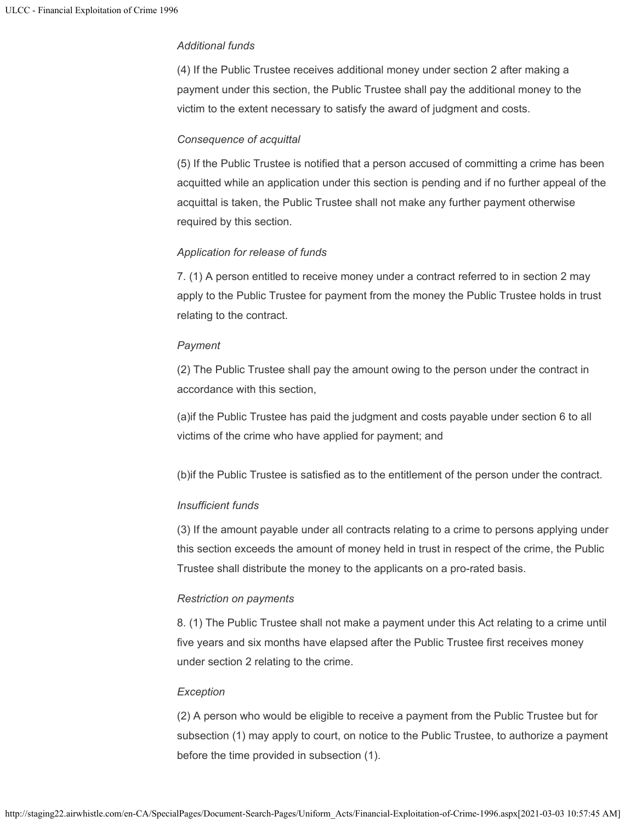## *Additional funds*

(4) If the Public Trustee receives additional money under section 2 after making a payment under this section, the Public Trustee shall pay the additional money to the victim to the extent necessary to satisfy the award of judgment and costs.

## *Consequence of acquittal*

(5) If the Public Trustee is notified that a person accused of committing a crime has been acquitted while an application under this section is pending and if no further appeal of the acquittal is taken, the Public Trustee shall not make any further payment otherwise required by this section.

## *Application for release of funds*

7. (1) A person entitled to receive money under a contract referred to in section 2 may apply to the Public Trustee for payment from the money the Public Trustee holds in trust relating to the contract.

## *Payment*

(2) The Public Trustee shall pay the amount owing to the person under the contract in accordance with this section,

(a)if the Public Trustee has paid the judgment and costs payable under section 6 to all victims of the crime who have applied for payment; and

(b)if the Public Trustee is satisfied as to the entitlement of the person under the contract.

## *Insufficient funds*

(3) If the amount payable under all contracts relating to a crime to persons applying under this section exceeds the amount of money held in trust in respect of the crime, the Public Trustee shall distribute the money to the applicants on a pro-rated basis.

## *Restriction on payments*

8. (1) The Public Trustee shall not make a payment under this Act relating to a crime until five years and six months have elapsed after the Public Trustee first receives money under section 2 relating to the crime.

## *Exception*

(2) A person who would be eligible to receive a payment from the Public Trustee but for subsection (1) may apply to court, on notice to the Public Trustee, to authorize a payment before the time provided in subsection (1).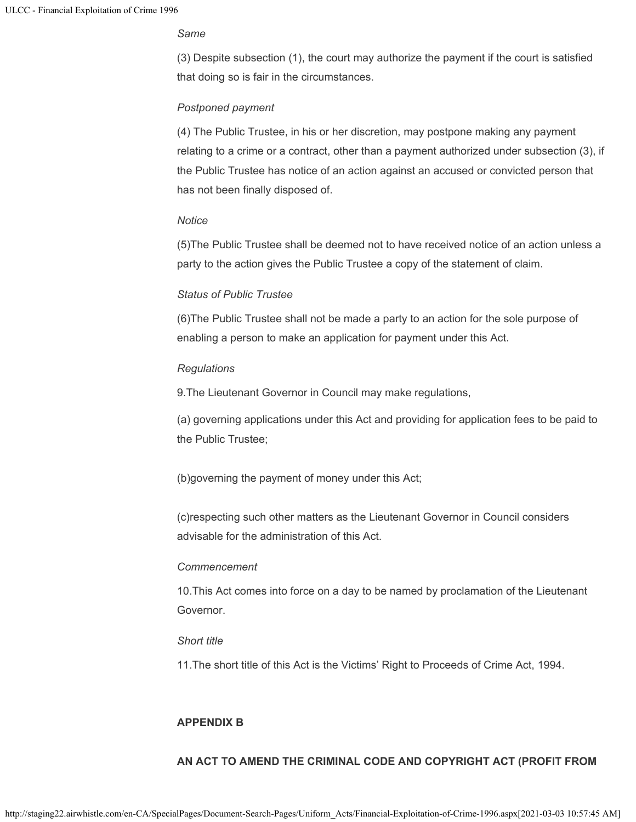## *Same*

(3) Despite subsection (1), the court may authorize the payment if the court is satisfied that doing so is fair in the circumstances.

## *Postponed payment*

(4) The Public Trustee, in his or her discretion, may postpone making any payment relating to a crime or a contract, other than a payment authorized under subsection (3), if the Public Trustee has notice of an action against an accused or convicted person that has not been finally disposed of.

#### *Notice*

(5)The Public Trustee shall be deemed not to have received notice of an action unless a party to the action gives the Public Trustee a copy of the statement of claim.

## *Status of Public Trustee*

(6)The Public Trustee shall not be made a party to an action for the sole purpose of enabling a person to make an application for payment under this Act.

#### *Regulations*

9.The Lieutenant Governor in Council may make regulations,

(a) governing applications under this Act and providing for application fees to be paid to the Public Trustee;

(b)governing the payment of money under this Act;

(c)respecting such other matters as the Lieutenant Governor in Council considers advisable for the administration of this Act.

#### *Commencement*

10.This Act comes into force on a day to be named by proclamation of the Lieutenant Governor.

#### *Short title*

11.The short title of this Act is the Victims' Right to Proceeds of Crime Act, 1994.

## **APPENDIX B**

## **AN ACT TO AMEND THE CRIMINAL CODE AND COPYRIGHT ACT (PROFIT FROM**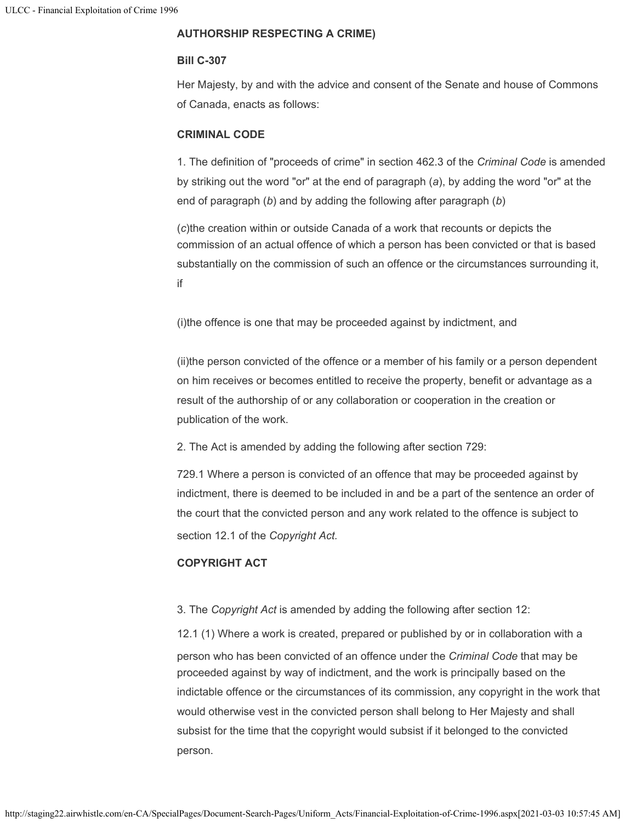# **AUTHORSHIP RESPECTING A CRIME)**

# **Bill C-307**

Her Majesty, by and with the advice and consent of the Senate and house of Commons of Canada, enacts as follows:

# **CRIMINAL CODE**

1. The definition of "proceeds of crime" in section 462.3 of the *Criminal Code* is amended by striking out the word "or" at the end of paragraph (*a*), by adding the word "or" at the end of paragraph (*b*) and by adding the following after paragraph (*b*)

(*c*)the creation within or outside Canada of a work that recounts or depicts the commission of an actual offence of which a person has been convicted or that is based substantially on the commission of such an offence or the circumstances surrounding it, if

(i)the offence is one that may be proceeded against by indictment, and

(ii)the person convicted of the offence or a member of his family or a person dependent on him receives or becomes entitled to receive the property, benefit or advantage as a result of the authorship of or any collaboration or cooperation in the creation or publication of the work.

2. The Act is amended by adding the following after section 729:

729.1 Where a person is convicted of an offence that may be proceeded against by indictment, there is deemed to be included in and be a part of the sentence an order of the court that the convicted person and any work related to the offence is subject to section 12.1 of the *Copyright Act.*

# **COPYRIGHT ACT**

# 3. The *Copyright Act* is amended by adding the following after section 12:

12.1 (1) Where a work is created, prepared or published by or in collaboration with a person who has been convicted of an offence under the *Criminal Code* that may be proceeded against by way of indictment, and the work is principally based on the indictable offence or the circumstances of its commission, any copyright in the work that would otherwise vest in the convicted person shall belong to Her Majesty and shall subsist for the time that the copyright would subsist if it belonged to the convicted person.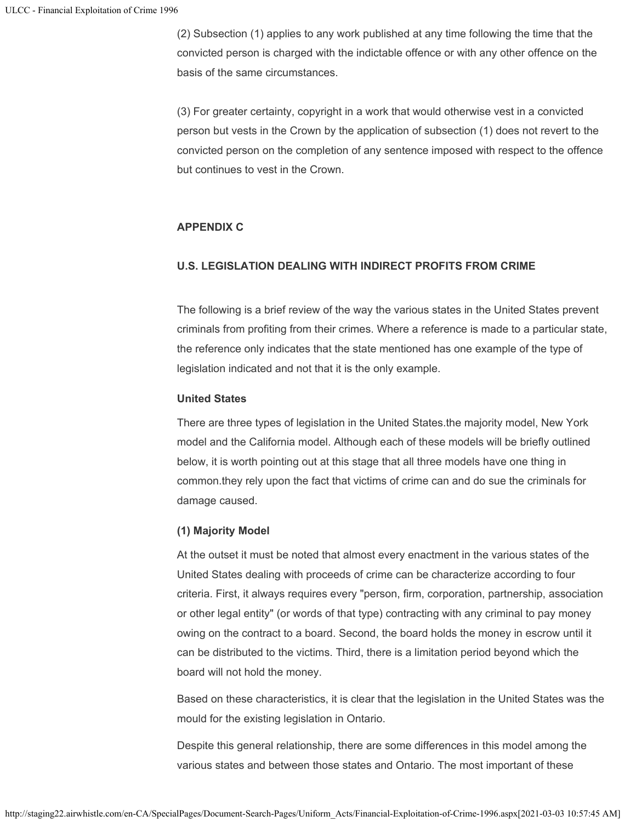(2) Subsection (1) applies to any work published at any time following the time that the convicted person is charged with the indictable offence or with any other offence on the basis of the same circumstances.

(3) For greater certainty, copyright in a work that would otherwise vest in a convicted person but vests in the Crown by the application of subsection (1) does not revert to the convicted person on the completion of any sentence imposed with respect to the offence but continues to vest in the Crown.

## **APPENDIX C**

# **U.S. LEGISLATION DEALING WITH INDIRECT PROFITS FROM CRIME**

The following is a brief review of the way the various states in the United States prevent criminals from profiting from their crimes. Where a reference is made to a particular state, the reference only indicates that the state mentioned has one example of the type of legislation indicated and not that it is the only example.

## **United States**

There are three types of legislation in the United States.the majority model, New York model and the California model. Although each of these models will be briefly outlined below, it is worth pointing out at this stage that all three models have one thing in common.they rely upon the fact that victims of crime can and do sue the criminals for damage caused.

# **(1) Majority Model**

At the outset it must be noted that almost every enactment in the various states of the United States dealing with proceeds of crime can be characterize according to four criteria. First, it always requires every "person, firm, corporation, partnership, association or other legal entity" (or words of that type) contracting with any criminal to pay money owing on the contract to a board. Second, the board holds the money in escrow until it can be distributed to the victims. Third, there is a limitation period beyond which the board will not hold the money.

Based on these characteristics, it is clear that the legislation in the United States was the mould for the existing legislation in Ontario.

Despite this general relationship, there are some differences in this model among the various states and between those states and Ontario. The most important of these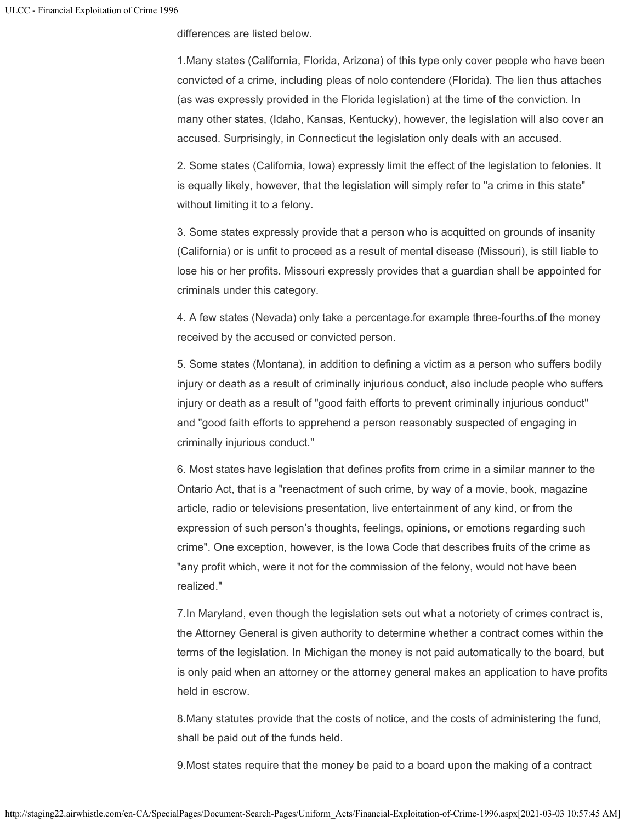differences are listed below.

1.Many states (California, Florida, Arizona) of this type only cover people who have been convicted of a crime, including pleas of nolo contendere (Florida). The lien thus attaches (as was expressly provided in the Florida legislation) at the time of the conviction. In many other states, (Idaho, Kansas, Kentucky), however, the legislation will also cover an accused. Surprisingly, in Connecticut the legislation only deals with an accused.

2. Some states (California, Iowa) expressly limit the effect of the legislation to felonies. It is equally likely, however, that the legislation will simply refer to "a crime in this state" without limiting it to a felony.

3. Some states expressly provide that a person who is acquitted on grounds of insanity (California) or is unfit to proceed as a result of mental disease (Missouri), is still liable to lose his or her profits. Missouri expressly provides that a guardian shall be appointed for criminals under this category.

4. A few states (Nevada) only take a percentage.for example three-fourths.of the money received by the accused or convicted person.

5. Some states (Montana), in addition to defining a victim as a person who suffers bodily injury or death as a result of criminally injurious conduct, also include people who suffers injury or death as a result of "good faith efforts to prevent criminally injurious conduct" and "good faith efforts to apprehend a person reasonably suspected of engaging in criminally injurious conduct."

6. Most states have legislation that defines profits from crime in a similar manner to the Ontario Act, that is a "reenactment of such crime, by way of a movie, book, magazine article, radio or televisions presentation, live entertainment of any kind, or from the expression of such person's thoughts, feelings, opinions, or emotions regarding such crime". One exception, however, is the Iowa Code that describes fruits of the crime as "any profit which, were it not for the commission of the felony, would not have been realized."

7.In Maryland, even though the legislation sets out what a notoriety of crimes contract is, the Attorney General is given authority to determine whether a contract comes within the terms of the legislation. In Michigan the money is not paid automatically to the board, but is only paid when an attorney or the attorney general makes an application to have profits held in escrow.

8.Many statutes provide that the costs of notice, and the costs of administering the fund, shall be paid out of the funds held.

9.Most states require that the money be paid to a board upon the making of a contract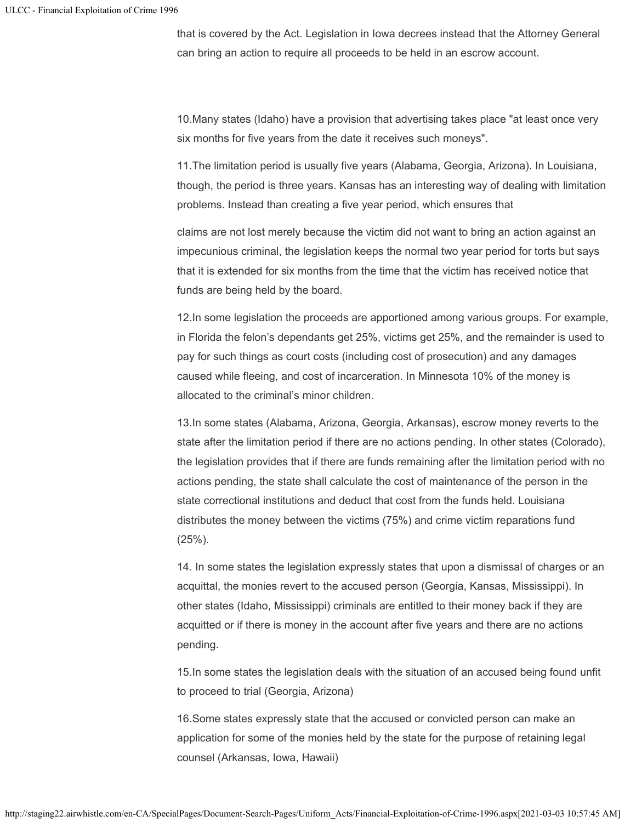that is covered by the Act. Legislation in Iowa decrees instead that the Attorney General can bring an action to require all proceeds to be held in an escrow account.

10.Many states (Idaho) have a provision that advertising takes place "at least once very six months for five years from the date it receives such moneys".

11.The limitation period is usually five years (Alabama, Georgia, Arizona). In Louisiana, though, the period is three years. Kansas has an interesting way of dealing with limitation problems. Instead than creating a five year period, which ensures that

claims are not lost merely because the victim did not want to bring an action against an impecunious criminal, the legislation keeps the normal two year period for torts but says that it is extended for six months from the time that the victim has received notice that funds are being held by the board.

12.In some legislation the proceeds are apportioned among various groups. For example, in Florida the felon's dependants get 25%, victims get 25%, and the remainder is used to pay for such things as court costs (including cost of prosecution) and any damages caused while fleeing, and cost of incarceration. In Minnesota 10% of the money is allocated to the criminal's minor children.

13.In some states (Alabama, Arizona, Georgia, Arkansas), escrow money reverts to the state after the limitation period if there are no actions pending. In other states (Colorado), the legislation provides that if there are funds remaining after the limitation period with no actions pending, the state shall calculate the cost of maintenance of the person in the state correctional institutions and deduct that cost from the funds held. Louisiana distributes the money between the victims (75%) and crime victim reparations fund (25%).

14. In some states the legislation expressly states that upon a dismissal of charges or an acquittal, the monies revert to the accused person (Georgia, Kansas, Mississippi). In other states (Idaho, Mississippi) criminals are entitled to their money back if they are acquitted or if there is money in the account after five years and there are no actions pending.

15.In some states the legislation deals with the situation of an accused being found unfit to proceed to trial (Georgia, Arizona)

16.Some states expressly state that the accused or convicted person can make an application for some of the monies held by the state for the purpose of retaining legal counsel (Arkansas, Iowa, Hawaii)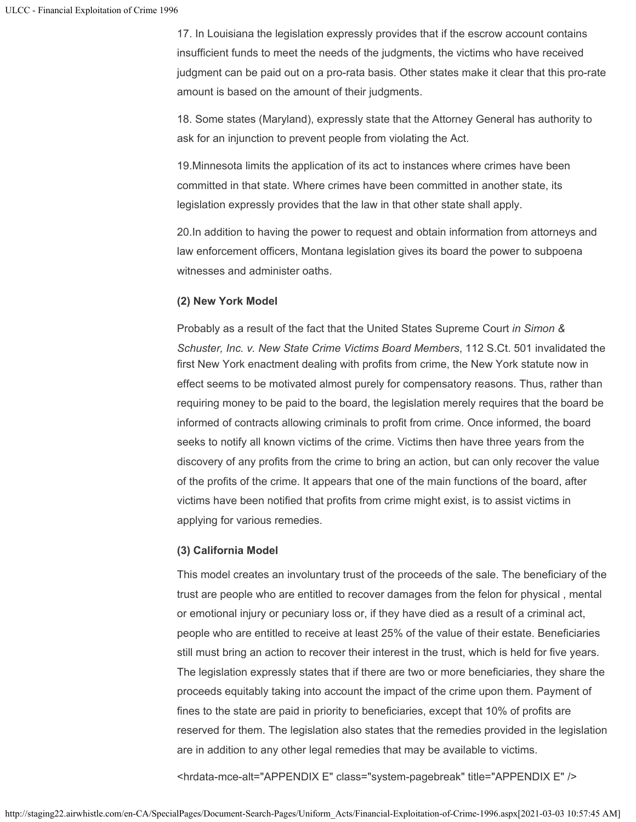17. In Louisiana the legislation expressly provides that if the escrow account contains insufficient funds to meet the needs of the judgments, the victims who have received judgment can be paid out on a pro-rata basis. Other states make it clear that this pro-rate amount is based on the amount of their judgments.

18. Some states (Maryland), expressly state that the Attorney General has authority to ask for an injunction to prevent people from violating the Act.

19.Minnesota limits the application of its act to instances where crimes have been committed in that state. Where crimes have been committed in another state, its legislation expressly provides that the law in that other state shall apply.

20.In addition to having the power to request and obtain information from attorneys and law enforcement officers, Montana legislation gives its board the power to subpoena witnesses and administer oaths.

## **(2) New York Model**

Probably as a result of the fact that the United States Supreme Court *in Simon & Schuster, Inc. v. New State Crime Victims Board Members*, 112 S.Ct. 501 invalidated the first New York enactment dealing with profits from crime, the New York statute now in effect seems to be motivated almost purely for compensatory reasons. Thus, rather than requiring money to be paid to the board, the legislation merely requires that the board be informed of contracts allowing criminals to profit from crime. Once informed, the board seeks to notify all known victims of the crime. Victims then have three years from the discovery of any profits from the crime to bring an action, but can only recover the value of the profits of the crime. It appears that one of the main functions of the board, after victims have been notified that profits from crime might exist, is to assist victims in applying for various remedies.

# **(3) California Model**

This model creates an involuntary trust of the proceeds of the sale. The beneficiary of the trust are people who are entitled to recover damages from the felon for physical , mental or emotional injury or pecuniary loss or, if they have died as a result of a criminal act, people who are entitled to receive at least 25% of the value of their estate. Beneficiaries still must bring an action to recover their interest in the trust, which is held for five years. The legislation expressly states that if there are two or more beneficiaries, they share the proceeds equitably taking into account the impact of the crime upon them. Payment of fines to the state are paid in priority to beneficiaries, except that 10% of profits are reserved for them. The legislation also states that the remedies provided in the legislation are in addition to any other legal remedies that may be available to victims.

<hrdata-mce-alt="APPENDIX E" class="system-pagebreak" title="APPENDIX E" />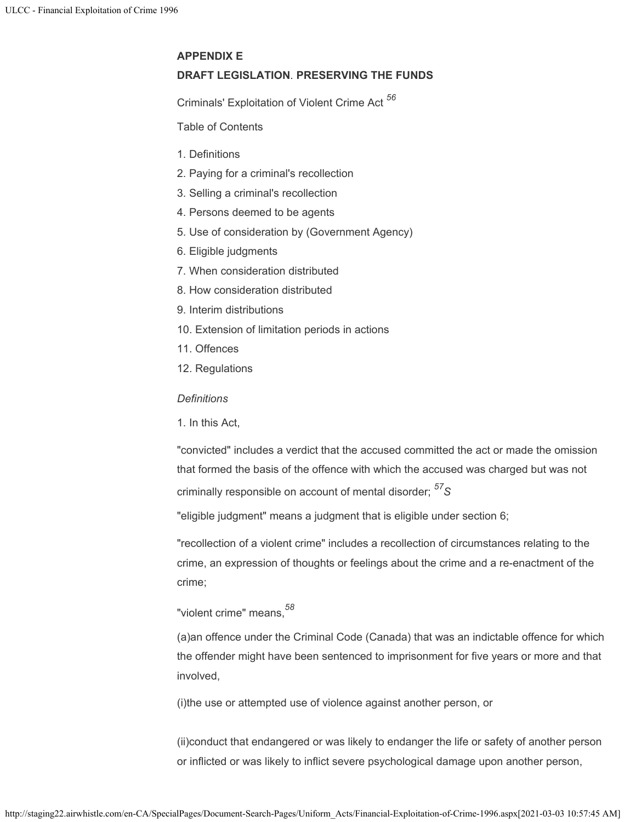## **APPENDIX E**

## **DRAFT LEGISLATION**. **PRESERVING THE FUNDS**

Criminals' Exploitation of Violent Crime Act *56*

Table of Contents

- 1. Definitions
- 2. Paying for a criminal's recollection
- 3. Selling a criminal's recollection
- 4. Persons deemed to be agents
- 5. Use of consideration by (Government Agency)
- 6. Eligible judgments
- 7. When consideration distributed
- 8. How consideration distributed
- 9. Interim distributions
- 10. Extension of limitation periods in actions
- 11. Offences
- 12. Regulations

*Definitions*

1. In this Act,

"convicted" includes a verdict that the accused committed the act or made the omission that formed the basis of the offence with which the accused was charged but was not criminally responsible on account of mental disorder; *S 57*

"eligible judgment" means a judgment that is eligible under section 6;

"recollection of a violent crime" includes a recollection of circumstances relating to the crime, an expression of thoughts or feelings about the crime and a re-enactment of the crime;

"violent crime" means, *58*

(a)an offence under the Criminal Code (Canada) that was an indictable offence for which the offender might have been sentenced to imprisonment for five years or more and that involved,

(i)the use or attempted use of violence against another person, or

(ii)conduct that endangered or was likely to endanger the life or safety of another person or inflicted or was likely to inflict severe psychological damage upon another person,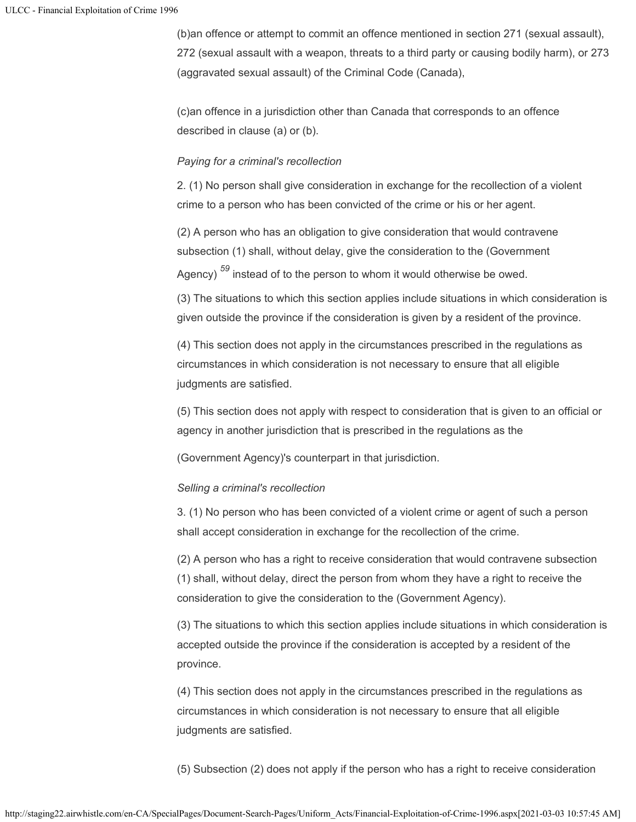(b)an offence or attempt to commit an offence mentioned in section 271 (sexual assault), 272 (sexual assault with a weapon, threats to a third party or causing bodily harm), or 273 (aggravated sexual assault) of the Criminal Code (Canada),

(c)an offence in a jurisdiction other than Canada that corresponds to an offence described in clause (a) or (b).

## *Paying for a criminal's recollection*

2. (1) No person shall give consideration in exchange for the recollection of a violent crime to a person who has been convicted of the crime or his or her agent.

(2) A person who has an obligation to give consideration that would contravene subsection (1) shall, without delay, give the consideration to the (Government Agency) <sup>59</sup> instead of to the person to whom it would otherwise be owed.

(3) The situations to which this section applies include situations in which consideration is given outside the province if the consideration is given by a resident of the province.

(4) This section does not apply in the circumstances prescribed in the regulations as circumstances in which consideration is not necessary to ensure that all eligible judgments are satisfied.

(5) This section does not apply with respect to consideration that is given to an official or agency in another jurisdiction that is prescribed in the regulations as the

(Government Agency)'s counterpart in that jurisdiction.

# *Selling a criminal's recollection*

3. (1) No person who has been convicted of a violent crime or agent of such a person shall accept consideration in exchange for the recollection of the crime.

(2) A person who has a right to receive consideration that would contravene subsection (1) shall, without delay, direct the person from whom they have a right to receive the consideration to give the consideration to the (Government Agency).

(3) The situations to which this section applies include situations in which consideration is accepted outside the province if the consideration is accepted by a resident of the province.

(4) This section does not apply in the circumstances prescribed in the regulations as circumstances in which consideration is not necessary to ensure that all eligible judgments are satisfied.

(5) Subsection (2) does not apply if the person who has a right to receive consideration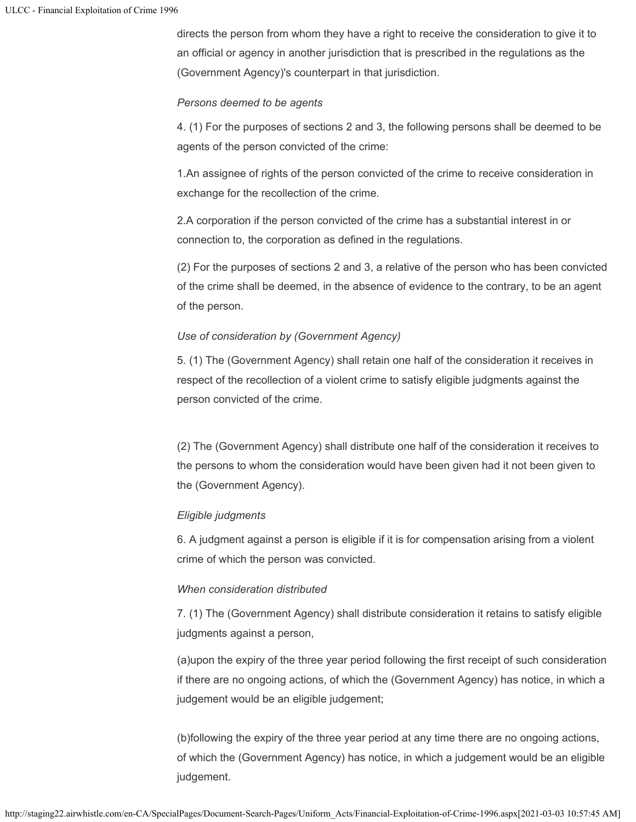directs the person from whom they have a right to receive the consideration to give it to an official or agency in another jurisdiction that is prescribed in the regulations as the (Government Agency)'s counterpart in that jurisdiction.

## *Persons deemed to be agents*

4. (1) For the purposes of sections 2 and 3, the following persons shall be deemed to be agents of the person convicted of the crime:

1.An assignee of rights of the person convicted of the crime to receive consideration in exchange for the recollection of the crime.

2.A corporation if the person convicted of the crime has a substantial interest in or connection to, the corporation as defined in the regulations.

(2) For the purposes of sections 2 and 3, a relative of the person who has been convicted of the crime shall be deemed, in the absence of evidence to the contrary, to be an agent of the person.

# *Use of consideration by (Government Agency)*

5. (1) The (Government Agency) shall retain one half of the consideration it receives in respect of the recollection of a violent crime to satisfy eligible judgments against the person convicted of the crime.

(2) The (Government Agency) shall distribute one half of the consideration it receives to the persons to whom the consideration would have been given had it not been given to the (Government Agency).

# *Eligible judgments*

6. A judgment against a person is eligible if it is for compensation arising from a violent crime of which the person was convicted.

# *When consideration distributed*

7. (1) The (Government Agency) shall distribute consideration it retains to satisfy eligible judgments against a person,

(a)upon the expiry of the three year period following the first receipt of such consideration if there are no ongoing actions, of which the (Government Agency) has notice, in which a judgement would be an eligible judgement;

(b)following the expiry of the three year period at any time there are no ongoing actions, of which the (Government Agency) has notice, in which a judgement would be an eligible judgement.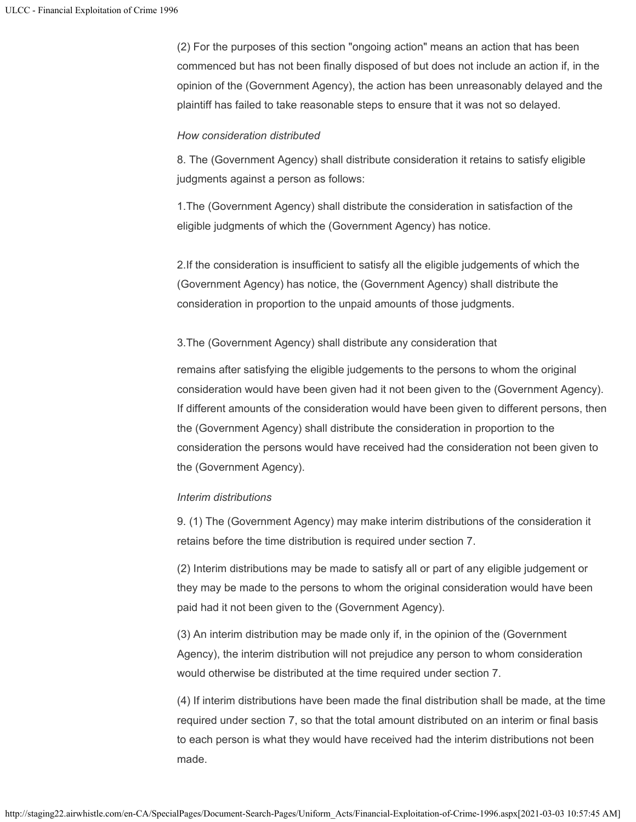(2) For the purposes of this section "ongoing action" means an action that has been commenced but has not been finally disposed of but does not include an action if, in the opinion of the (Government Agency), the action has been unreasonably delayed and the plaintiff has failed to take reasonable steps to ensure that it was not so delayed.

## *How consideration distributed*

8. The (Government Agency) shall distribute consideration it retains to satisfy eligible judgments against a person as follows:

1.The (Government Agency) shall distribute the consideration in satisfaction of the eligible judgments of which the (Government Agency) has notice.

2.If the consideration is insufficient to satisfy all the eligible judgements of which the (Government Agency) has notice, the (Government Agency) shall distribute the consideration in proportion to the unpaid amounts of those judgments.

## 3.The (Government Agency) shall distribute any consideration that

remains after satisfying the eligible judgements to the persons to whom the original consideration would have been given had it not been given to the (Government Agency). If different amounts of the consideration would have been given to different persons, then the (Government Agency) shall distribute the consideration in proportion to the consideration the persons would have received had the consideration not been given to the (Government Agency).

## *Interim distributions*

9. (1) The (Government Agency) may make interim distributions of the consideration it retains before the time distribution is required under section 7.

(2) Interim distributions may be made to satisfy all or part of any eligible judgement or they may be made to the persons to whom the original consideration would have been paid had it not been given to the (Government Agency).

(3) An interim distribution may be made only if, in the opinion of the (Government Agency), the interim distribution will not prejudice any person to whom consideration would otherwise be distributed at the time required under section 7.

(4) If interim distributions have been made the final distribution shall be made, at the time required under section 7, so that the total amount distributed on an interim or final basis to each person is what they would have received had the interim distributions not been made.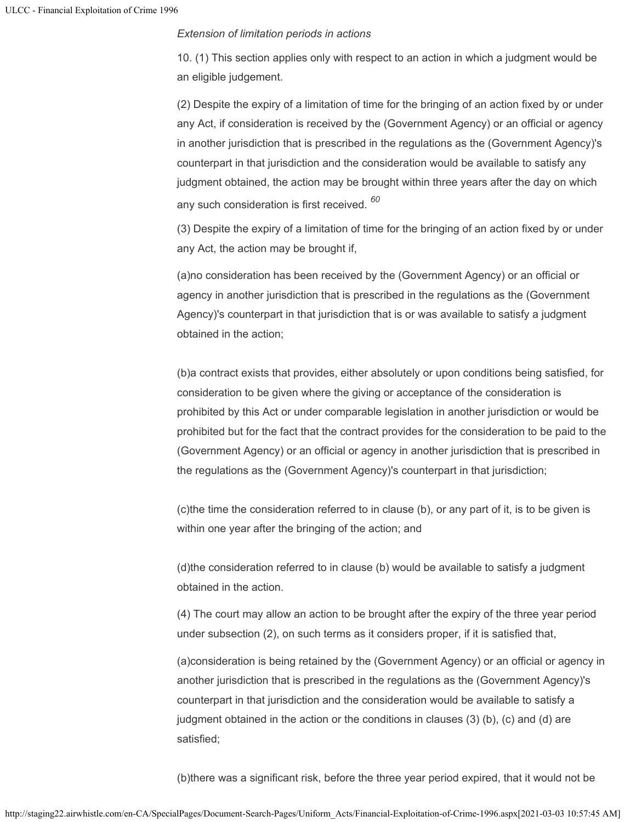## *Extension of limitation periods in actions*

10. (1) This section applies only with respect to an action in which a judgment would be an eligible judgement.

(2) Despite the expiry of a limitation of time for the bringing of an action fixed by or under any Act, if consideration is received by the (Government Agency) or an official or agency in another jurisdiction that is prescribed in the regulations as the (Government Agency)'s counterpart in that jurisdiction and the consideration would be available to satisfy any judgment obtained, the action may be brought within three years after the day on which any such consideration is first received. *60*

(3) Despite the expiry of a limitation of time for the bringing of an action fixed by or under any Act, the action may be brought if,

(a)no consideration has been received by the (Government Agency) or an official or agency in another jurisdiction that is prescribed in the regulations as the (Government Agency)'s counterpart in that jurisdiction that is or was available to satisfy a judgment obtained in the action;

(b)a contract exists that provides, either absolutely or upon conditions being satisfied, for consideration to be given where the giving or acceptance of the consideration is prohibited by this Act or under comparable legislation in another jurisdiction or would be prohibited but for the fact that the contract provides for the consideration to be paid to the (Government Agency) or an official or agency in another jurisdiction that is prescribed in the regulations as the (Government Agency)'s counterpart in that jurisdiction;

(c)the time the consideration referred to in clause (b), or any part of it, is to be given is within one year after the bringing of the action; and

(d)the consideration referred to in clause (b) would be available to satisfy a judgment obtained in the action.

(4) The court may allow an action to be brought after the expiry of the three year period under subsection (2), on such terms as it considers proper, if it is satisfied that,

(a)consideration is being retained by the (Government Agency) or an official or agency in another jurisdiction that is prescribed in the regulations as the (Government Agency)'s counterpart in that jurisdiction and the consideration would be available to satisfy a judgment obtained in the action or the conditions in clauses (3) (b), (c) and (d) are satisfied;

(b)there was a significant risk, before the three year period expired, that it would not be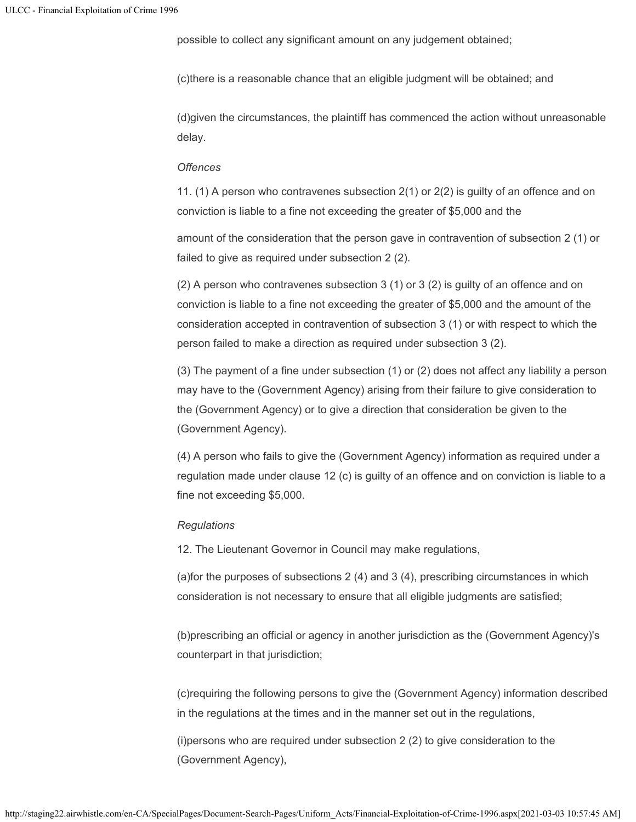possible to collect any significant amount on any judgement obtained;

(c)there is a reasonable chance that an eligible judgment will be obtained; and

(d)given the circumstances, the plaintiff has commenced the action without unreasonable delay.

#### *Offences*

11. (1) A person who contravenes subsection 2(1) or 2(2) is guilty of an offence and on conviction is liable to a fine not exceeding the greater of \$5,000 and the

amount of the consideration that the person gave in contravention of subsection 2 (1) or failed to give as required under subsection 2 (2).

(2) A person who contravenes subsection 3 (1) or 3 (2) is guilty of an offence and on conviction is liable to a fine not exceeding the greater of \$5,000 and the amount of the consideration accepted in contravention of subsection 3 (1) or with respect to which the person failed to make a direction as required under subsection 3 (2).

(3) The payment of a fine under subsection (1) or (2) does not affect any liability a person may have to the (Government Agency) arising from their failure to give consideration to the (Government Agency) or to give a direction that consideration be given to the (Government Agency).

(4) A person who fails to give the (Government Agency) information as required under a regulation made under clause 12 (c) is guilty of an offence and on conviction is liable to a fine not exceeding \$5,000.

#### *Regulations*

12. The Lieutenant Governor in Council may make regulations,

(a)for the purposes of subsections 2 (4) and 3 (4), prescribing circumstances in which consideration is not necessary to ensure that all eligible judgments are satisfied;

(b)prescribing an official or agency in another jurisdiction as the (Government Agency)'s counterpart in that jurisdiction;

(c)requiring the following persons to give the (Government Agency) information described in the regulations at the times and in the manner set out in the regulations,

(i)persons who are required under subsection 2 (2) to give consideration to the (Government Agency),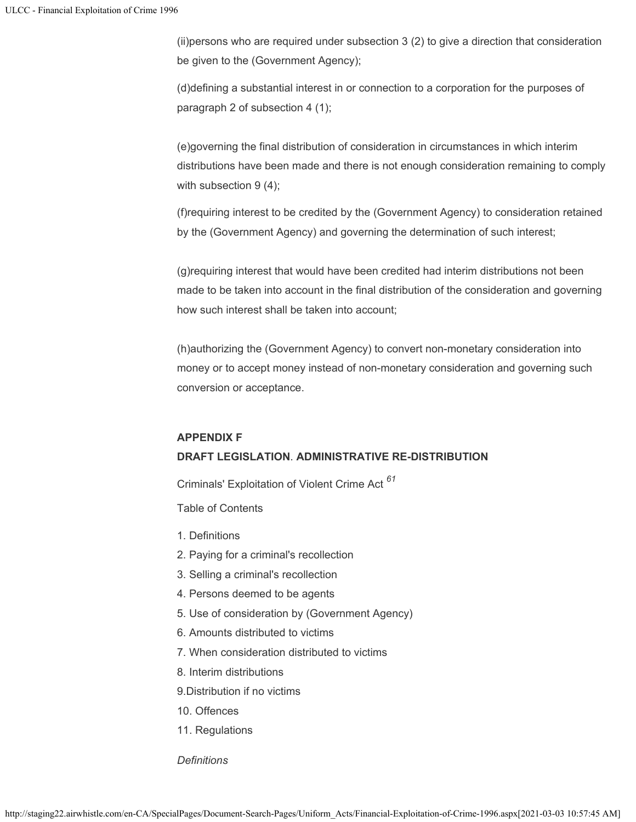(ii)persons who are required under subsection 3 (2) to give a direction that consideration be given to the (Government Agency);

(d)defining a substantial interest in or connection to a corporation for the purposes of paragraph 2 of subsection 4 (1);

(e)governing the final distribution of consideration in circumstances in which interim distributions have been made and there is not enough consideration remaining to comply with subsection 9 (4);

(f)requiring interest to be credited by the (Government Agency) to consideration retained by the (Government Agency) and governing the determination of such interest;

(g)requiring interest that would have been credited had interim distributions not been made to be taken into account in the final distribution of the consideration and governing how such interest shall be taken into account;

(h)authorizing the (Government Agency) to convert non-monetary consideration into money or to accept money instead of non-monetary consideration and governing such conversion or acceptance.

## **APPENDIX F**

# **DRAFT LEGISLATION**. **ADMINISTRATIVE RE-DISTRIBUTION**

Criminals' Exploitation of Violent Crime Act *61*

Table of Contents

- 1. Definitions
- 2. Paying for a criminal's recollection
- 3. Selling a criminal's recollection
- 4. Persons deemed to be agents
- 5. Use of consideration by (Government Agency)
- 6. Amounts distributed to victims
- 7. When consideration distributed to victims
- 8. Interim distributions

9.Distribution if no victims

- 10. Offences
- 11. Regulations

## *Definitions*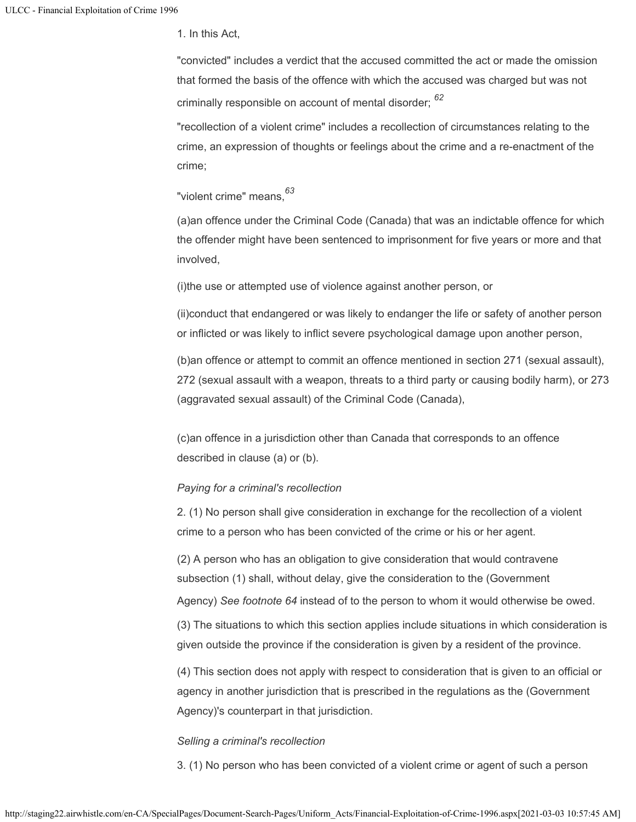1. In this Act,

"convicted" includes a verdict that the accused committed the act or made the omission that formed the basis of the offence with which the accused was charged but was not criminally responsible on account of mental disorder; *62*

"recollection of a violent crime" includes a recollection of circumstances relating to the crime, an expression of thoughts or feelings about the crime and a re-enactment of the crime;

"violent crime" means, *63*

(a)an offence under the Criminal Code (Canada) that was an indictable offence for which the offender might have been sentenced to imprisonment for five years or more and that involved,

(i)the use or attempted use of violence against another person, or

(ii)conduct that endangered or was likely to endanger the life or safety of another person or inflicted or was likely to inflict severe psychological damage upon another person,

(b)an offence or attempt to commit an offence mentioned in section 271 (sexual assault), 272 (sexual assault with a weapon, threats to a third party or causing bodily harm), or 273 (aggravated sexual assault) of the Criminal Code (Canada),

(c)an offence in a jurisdiction other than Canada that corresponds to an offence described in clause (a) or (b).

## *Paying for a criminal's recollection*

2. (1) No person shall give consideration in exchange for the recollection of a violent crime to a person who has been convicted of the crime or his or her agent.

(2) A person who has an obligation to give consideration that would contravene subsection (1) shall, without delay, give the consideration to the (Government

Agency) *See footnote 64* instead of to the person to whom it would otherwise be owed.

(3) The situations to which this section applies include situations in which consideration is given outside the province if the consideration is given by a resident of the province.

(4) This section does not apply with respect to consideration that is given to an official or agency in another jurisdiction that is prescribed in the regulations as the (Government Agency)'s counterpart in that jurisdiction.

## *Selling a criminal's recollection*

3. (1) No person who has been convicted of a violent crime or agent of such a person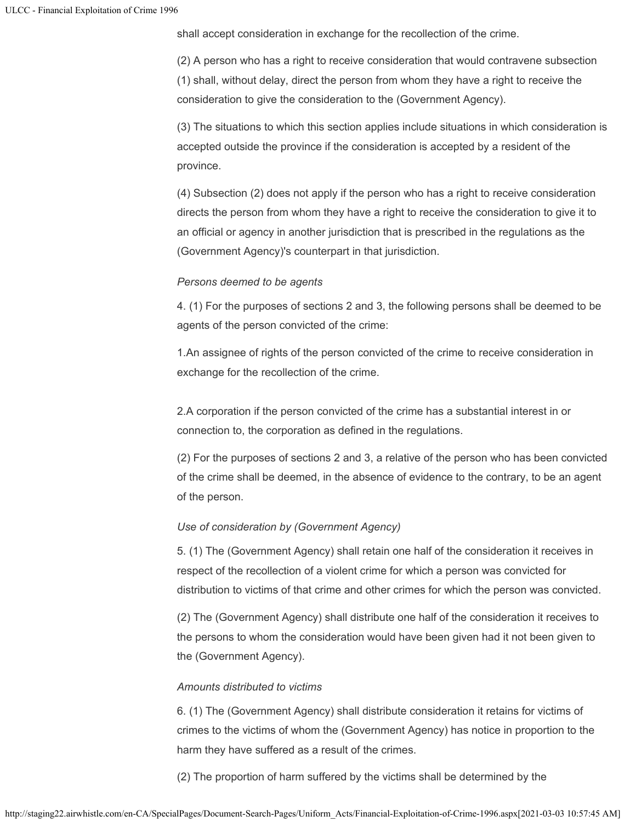shall accept consideration in exchange for the recollection of the crime.

(2) A person who has a right to receive consideration that would contravene subsection (1) shall, without delay, direct the person from whom they have a right to receive the consideration to give the consideration to the (Government Agency).

(3) The situations to which this section applies include situations in which consideration is accepted outside the province if the consideration is accepted by a resident of the province.

(4) Subsection (2) does not apply if the person who has a right to receive consideration directs the person from whom they have a right to receive the consideration to give it to an official or agency in another jurisdiction that is prescribed in the regulations as the (Government Agency)'s counterpart in that jurisdiction.

## *Persons deemed to be agents*

4. (1) For the purposes of sections 2 and 3, the following persons shall be deemed to be agents of the person convicted of the crime:

1.An assignee of rights of the person convicted of the crime to receive consideration in exchange for the recollection of the crime.

2.A corporation if the person convicted of the crime has a substantial interest in or connection to, the corporation as defined in the regulations.

(2) For the purposes of sections 2 and 3, a relative of the person who has been convicted of the crime shall be deemed, in the absence of evidence to the contrary, to be an agent of the person.

## *Use of consideration by (Government Agency)*

5. (1) The (Government Agency) shall retain one half of the consideration it receives in respect of the recollection of a violent crime for which a person was convicted for distribution to victims of that crime and other crimes for which the person was convicted.

(2) The (Government Agency) shall distribute one half of the consideration it receives to the persons to whom the consideration would have been given had it not been given to the (Government Agency).

## *Amounts distributed to victims*

6. (1) The (Government Agency) shall distribute consideration it retains for victims of crimes to the victims of whom the (Government Agency) has notice in proportion to the harm they have suffered as a result of the crimes.

(2) The proportion of harm suffered by the victims shall be determined by the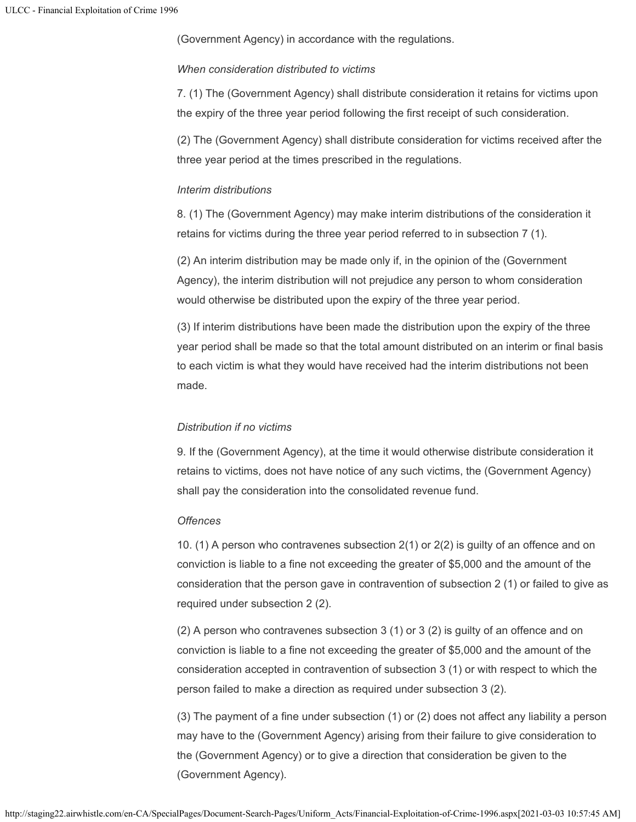(Government Agency) in accordance with the regulations.

## *When consideration distributed to victims*

7. (1) The (Government Agency) shall distribute consideration it retains for victims upon the expiry of the three year period following the first receipt of such consideration.

(2) The (Government Agency) shall distribute consideration for victims received after the three year period at the times prescribed in the regulations.

#### *Interim distributions*

8. (1) The (Government Agency) may make interim distributions of the consideration it retains for victims during the three year period referred to in subsection 7 (1).

(2) An interim distribution may be made only if, in the opinion of the (Government Agency), the interim distribution will not prejudice any person to whom consideration would otherwise be distributed upon the expiry of the three year period.

(3) If interim distributions have been made the distribution upon the expiry of the three year period shall be made so that the total amount distributed on an interim or final basis to each victim is what they would have received had the interim distributions not been made.

## *Distribution if no victims*

9. If the (Government Agency), at the time it would otherwise distribute consideration it retains to victims, does not have notice of any such victims, the (Government Agency) shall pay the consideration into the consolidated revenue fund.

## *Offences*

10. (1) A person who contravenes subsection 2(1) or 2(2) is guilty of an offence and on conviction is liable to a fine not exceeding the greater of \$5,000 and the amount of the consideration that the person gave in contravention of subsection 2 (1) or failed to give as required under subsection 2 (2).

(2) A person who contravenes subsection 3 (1) or 3 (2) is guilty of an offence and on conviction is liable to a fine not exceeding the greater of \$5,000 and the amount of the consideration accepted in contravention of subsection 3 (1) or with respect to which the person failed to make a direction as required under subsection 3 (2).

(3) The payment of a fine under subsection (1) or (2) does not affect any liability a person may have to the (Government Agency) arising from their failure to give consideration to the (Government Agency) or to give a direction that consideration be given to the (Government Agency).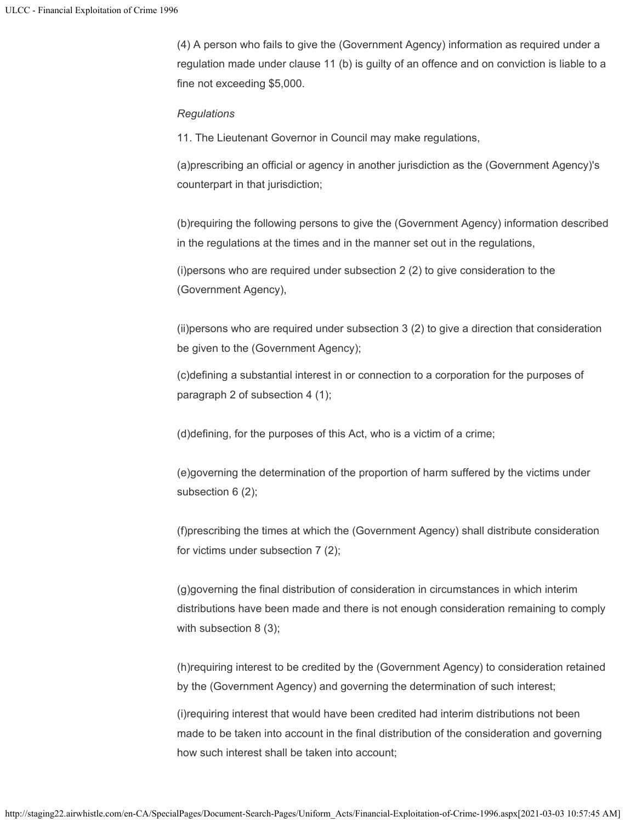(4) A person who fails to give the (Government Agency) information as required under a regulation made under clause 11 (b) is guilty of an offence and on conviction is liable to a fine not exceeding \$5,000.

## *Regulations*

11. The Lieutenant Governor in Council may make regulations,

(a)prescribing an official or agency in another jurisdiction as the (Government Agency)'s counterpart in that jurisdiction;

(b)requiring the following persons to give the (Government Agency) information described in the regulations at the times and in the manner set out in the regulations,

(i)persons who are required under subsection 2 (2) to give consideration to the (Government Agency),

(ii)persons who are required under subsection 3 (2) to give a direction that consideration be given to the (Government Agency);

(c)defining a substantial interest in or connection to a corporation for the purposes of paragraph 2 of subsection 4 (1);

(d)defining, for the purposes of this Act, who is a victim of a crime;

(e)governing the determination of the proportion of harm suffered by the victims under subsection 6 (2);

(f)prescribing the times at which the (Government Agency) shall distribute consideration for victims under subsection 7 (2);

(g)governing the final distribution of consideration in circumstances in which interim distributions have been made and there is not enough consideration remaining to comply with subsection 8 (3);

(h)requiring interest to be credited by the (Government Agency) to consideration retained by the (Government Agency) and governing the determination of such interest;

(i)requiring interest that would have been credited had interim distributions not been made to be taken into account in the final distribution of the consideration and governing how such interest shall be taken into account;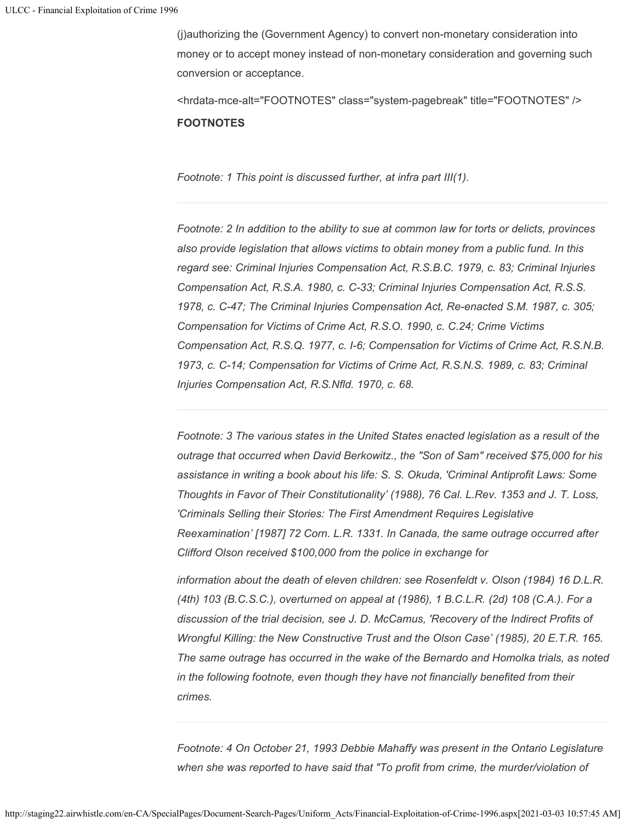(j)authorizing the (Government Agency) to convert non-monetary consideration into money or to accept money instead of non-monetary consideration and governing such conversion or acceptance.

<hrdata-mce-alt="FOOTNOTES" class="system-pagebreak" title="FOOTNOTES" /> **FOOTNOTES**

*Footnote: 1 This point is discussed further, at infra part III(1).*

*Footnote: 2 In addition to the ability to sue at common law for torts or delicts, provinces also provide legislation that allows victims to obtain money from a public fund. In this regard see: Criminal Injuries Compensation Act, R.S.B.C. 1979, c. 83; Criminal Injuries Compensation Act, R.S.A. 1980, c. C-33; Criminal Injuries Compensation Act, R.S.S. 1978, c. C-47; The Criminal Injuries Compensation Act, Re-enacted S.M. 1987, c. 305; Compensation for Victims of Crime Act, R.S.O. 1990, c. C.24; Crime Victims Compensation Act, R.S.Q. 1977, c. I-6; Compensation for Victims of Crime Act, R.S.N.B. 1973, c. C-14; Compensation for Victims of Crime Act, R.S.N.S. 1989, c. 83; Criminal Injuries Compensation Act, R.S.Nfld. 1970, c. 68.*

*Footnote: 3 The various states in the United States enacted legislation as a result of the outrage that occurred when David Berkowitz., the "Son of Sam" received \$75,000 for his assistance in writing a book about his life: S. S. Okuda, 'Criminal Antiprofit Laws: Some Thoughts in Favor of Their Constitutionality' (1988), 76 Cal. L.Rev. 1353 and J. T. Loss, 'Criminals Selling their Stories: The First Amendment Requires Legislative Reexamination' [1987] 72 Corn. L.R. 1331. In Canada, the same outrage occurred after Clifford Olson received \$100,000 from the police in exchange for*

*information about the death of eleven children: see Rosenfeldt v. Olson (1984) 16 D.L.R. (4th) 103 (B.C.S.C.), overturned on appeal at (1986), 1 B.C.L.R. (2d) 108 (C.A.). For a discussion of the trial decision, see J. D. McCamus, 'Recovery of the Indirect Profits of Wrongful Killing: the New Constructive Trust and the Olson Case' (1985), 20 E.T.R. 165. The same outrage has occurred in the wake of the Bernardo and Homolka trials, as noted in the following footnote, even though they have not financially benefited from their crimes.*

*Footnote: 4 On October 21, 1993 Debbie Mahaffy was present in the Ontario Legislature when she was reported to have said that "To profit from crime, the murder/violation of*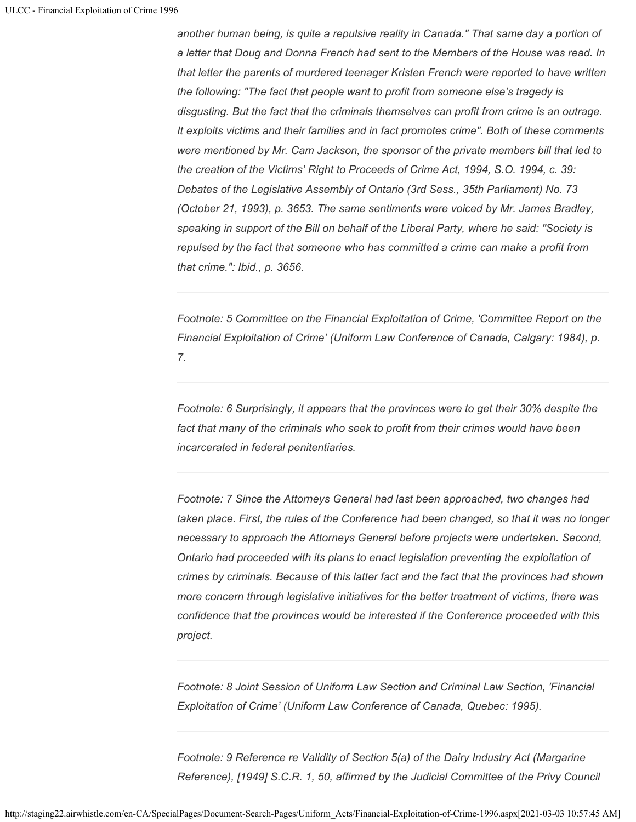*another human being, is quite a repulsive reality in Canada." That same day a portion of a letter that Doug and Donna French had sent to the Members of the House was read. In that letter the parents of murdered teenager Kristen French were reported to have written the following: "The fact that people want to profit from someone else's tragedy is disgusting. But the fact that the criminals themselves can profit from crime is an outrage. It exploits victims and their families and in fact promotes crime". Both of these comments were mentioned by Mr. Cam Jackson, the sponsor of the private members bill that led to the creation of the Victims' Right to Proceeds of Crime Act, 1994, S.O. 1994, c. 39: Debates of the Legislative Assembly of Ontario (3rd Sess., 35th Parliament) No. 73 (October 21, 1993), p. 3653. The same sentiments were voiced by Mr. James Bradley, speaking in support of the Bill on behalf of the Liberal Party, where he said: "Society is repulsed by the fact that someone who has committed a crime can make a profit from that crime.": Ibid., p. 3656.*

*Footnote: 5 Committee on the Financial Exploitation of Crime, 'Committee Report on the Financial Exploitation of Crime' (Uniform Law Conference of Canada, Calgary: 1984), p. 7.*

*Footnote: 6 Surprisingly, it appears that the provinces were to get their 30% despite the fact that many of the criminals who seek to profit from their crimes would have been incarcerated in federal penitentiaries.*

*Footnote: 7 Since the Attorneys General had last been approached, two changes had taken place. First, the rules of the Conference had been changed, so that it was no longer necessary to approach the Attorneys General before projects were undertaken. Second, Ontario had proceeded with its plans to enact legislation preventing the exploitation of crimes by criminals. Because of this latter fact and the fact that the provinces had shown more concern through legislative initiatives for the better treatment of victims, there was confidence that the provinces would be interested if the Conference proceeded with this project.*

*Footnote: 8 Joint Session of Uniform Law Section and Criminal Law Section, 'Financial Exploitation of Crime' (Uniform Law Conference of Canada, Quebec: 1995).*

*Footnote: 9 Reference re Validity of Section 5(a) of the Dairy Industry Act (Margarine Reference), [1949] S.C.R. 1, 50, affirmed by the Judicial Committee of the Privy Council*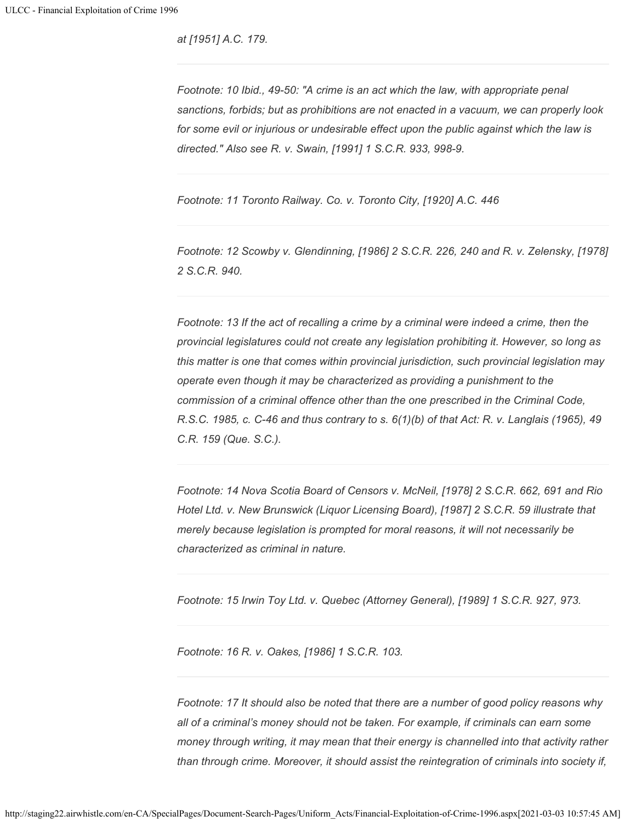*at [1951] A.C. 179.*

*Footnote: 10 Ibid., 49-50: "A crime is an act which the law, with appropriate penal sanctions, forbids; but as prohibitions are not enacted in a vacuum, we can properly look for some evil or injurious or undesirable effect upon the public against which the law is directed." Also see R. v. Swain, [1991] 1 S.C.R. 933, 998-9.*

*Footnote: 11 Toronto Railway. Co. v. Toronto City, [1920] A.C. 446*

*Footnote: 12 Scowby v. Glendinning, [1986] 2 S.C.R. 226, 240 and R. v. Zelensky, [1978] 2 S.C.R. 940.*

*Footnote: 13 If the act of recalling a crime by a criminal were indeed a crime, then the provincial legislatures could not create any legislation prohibiting it. However, so long as this matter is one that comes within provincial jurisdiction, such provincial legislation may operate even though it may be characterized as providing a punishment to the commission of a criminal offence other than the one prescribed in the Criminal Code, R.S.C. 1985, c. C-46 and thus contrary to s. 6(1)(b) of that Act: R. v. Langlais (1965), 49 C.R. 159 (Que. S.C.).*

*Footnote: 14 Nova Scotia Board of Censors v. McNeil, [1978] 2 S.C.R. 662, 691 and Rio Hotel Ltd. v. New Brunswick (Liquor Licensing Board), [1987] 2 S.C.R. 59 illustrate that merely because legislation is prompted for moral reasons, it will not necessarily be characterized as criminal in nature.*

*Footnote: 15 Irwin Toy Ltd. v. Quebec (Attorney General), [1989] 1 S.C.R. 927, 973.*

*Footnote: 16 R. v. Oakes, [1986] 1 S.C.R. 103.*

*Footnote: 17 It should also be noted that there are a number of good policy reasons why all of a criminal's money should not be taken. For example, if criminals can earn some money through writing, it may mean that their energy is channelled into that activity rather than through crime. Moreover, it should assist the reintegration of criminals into society if,*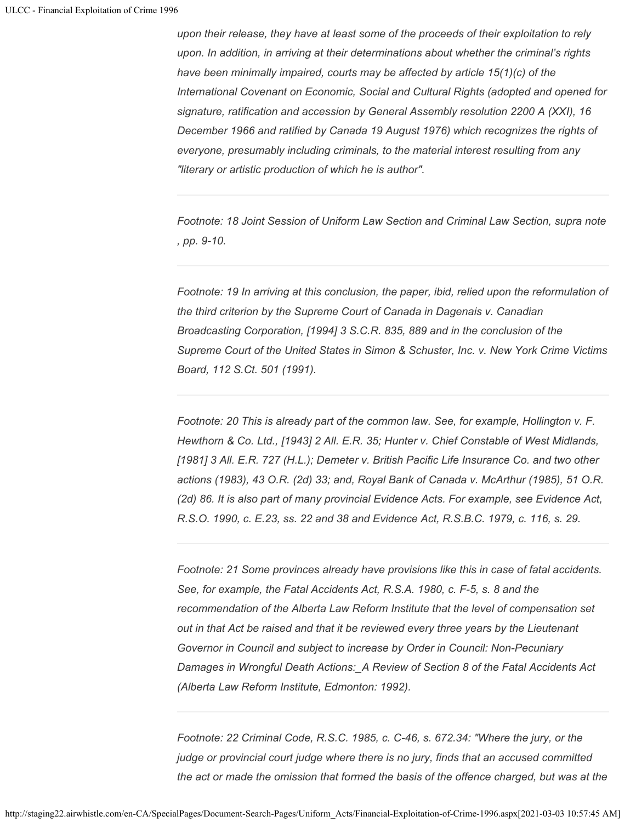*upon their release, they have at least some of the proceeds of their exploitation to rely upon. In addition, in arriving at their determinations about whether the criminal's rights have been minimally impaired, courts may be affected by article 15(1)(c) of the International Covenant on Economic, Social and Cultural Rights (adopted and opened for signature, ratification and accession by General Assembly resolution 2200 A (XXI), 16 December 1966 and ratified by Canada 19 August 1976) which recognizes the rights of everyone, presumably including criminals, to the material interest resulting from any "literary or artistic production of which he is author".*

*Footnote: 18 Joint Session of Uniform Law Section and Criminal Law Section, supra note , pp. 9-10.*

*Footnote: 19 In arriving at this conclusion, the paper, ibid, relied upon the reformulation of the third criterion by the Supreme Court of Canada in Dagenais v. Canadian Broadcasting Corporation, [1994] 3 S.C.R. 835, 889 and in the conclusion of the Supreme Court of the United States in Simon & Schuster, Inc. v. New York Crime Victims Board, 112 S.Ct. 501 (1991).*

*Footnote: 20 This is already part of the common law. See, for example, Hollington v. F. Hewthorn & Co. Ltd., [1943] 2 All. E.R. 35; Hunter v. Chief Constable of West Midlands, [1981] 3 All. E.R. 727 (H.L.); Demeter v. British Pacific Life Insurance Co. and two other actions (1983), 43 O.R. (2d) 33; and, Royal Bank of Canada v. McArthur (1985), 51 O.R. (2d) 86. It is also part of many provincial Evidence Acts. For example, see Evidence Act, R.S.O. 1990, c. E.23, ss. 22 and 38 and Evidence Act, R.S.B.C. 1979, c. 116, s. 29.*

*Footnote: 21 Some provinces already have provisions like this in case of fatal accidents. See, for example, the Fatal Accidents Act, R.S.A. 1980, c. F-5, s. 8 and the recommendation of the Alberta Law Reform Institute that the level of compensation set out in that Act be raised and that it be reviewed every three years by the Lieutenant Governor in Council and subject to increase by Order in Council: Non-Pecuniary Damages in Wrongful Death Actions:\_A Review of Section 8 of the Fatal Accidents Act (Alberta Law Reform Institute, Edmonton: 1992).*

*Footnote: 22 Criminal Code, R.S.C. 1985, c. C-46, s. 672.34: "Where the jury, or the judge or provincial court judge where there is no jury, finds that an accused committed the act or made the omission that formed the basis of the offence charged, but was at the*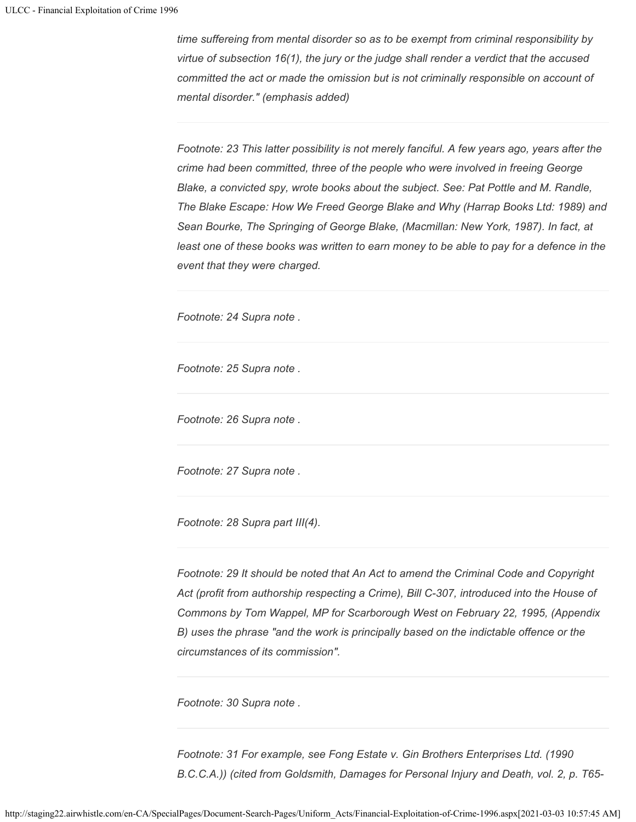*time suffereing from mental disorder so as to be exempt from criminal responsibility by virtue of subsection 16(1), the jury or the judge shall render a verdict that the accused committed the act or made the omission but is not criminally responsible on account of mental disorder." (emphasis added)*

*Footnote: 23 This latter possibility is not merely fanciful. A few years ago, years after the crime had been committed, three of the people who were involved in freeing George Blake, a convicted spy, wrote books about the subject. See: Pat Pottle and M. Randle, The Blake Escape: How We Freed George Blake and Why (Harrap Books Ltd: 1989) and Sean Bourke, The Springing of George Blake, (Macmillan: New York, 1987). In fact, at least one of these books was written to earn money to be able to pay for a defence in the event that they were charged.*

*Footnote: 24 Supra note .*

*Footnote: 25 Supra note .*

*Footnote: 26 Supra note .*

*Footnote: 27 Supra note .*

*Footnote: 28 Supra part III(4).*

*Footnote: 29 It should be noted that An Act to amend the Criminal Code and Copyright Act (profit from authorship respecting a Crime), Bill C-307, introduced into the House of Commons by Tom Wappel, MP for Scarborough West on February 22, 1995, (Appendix B) uses the phrase "and the work is principally based on the indictable offence or the circumstances of its commission".*

*Footnote: 30 Supra note .*

*Footnote: 31 For example, see Fong Estate v. Gin Brothers Enterprises Ltd. (1990 B.C.C.A.)) (cited from Goldsmith, Damages for Personal Injury and Death, vol. 2, p. T65-*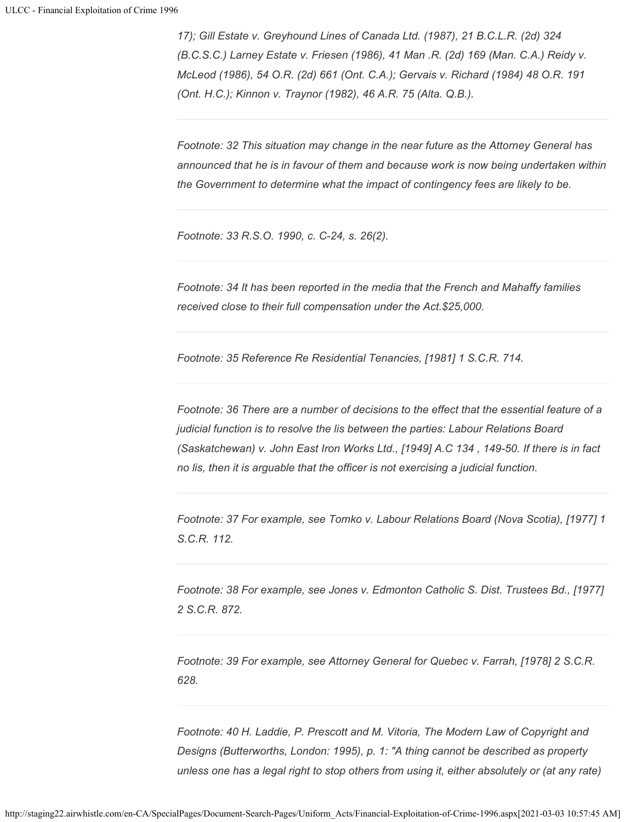*17); Gill Estate v. Greyhound Lines of Canada Ltd. (1987), 21 B.C.L.R. (2d) 324 (B.C.S.C.) Larney Estate v. Friesen (1986), 41 Man .R. (2d) 169 (Man. C.A.) Reidy v. McLeod (1986), 54 O.R. (2d) 661 (Ont. C.A.); Gervais v. Richard (1984) 48 O.R. 191 (Ont. H.C.); Kinnon v. Traynor (1982), 46 A.R. 75 (Alta. Q.B.).*

*Footnote: 32 This situation may change in the near future as the Attorney General has announced that he is in favour of them and because work is now being undertaken within the Government to determine what the impact of contingency fees are likely to be.*

*Footnote: 33 R.S.O. 1990, c. C-24, s. 26(2).*

*Footnote: 34 It has been reported in the media that the French and Mahaffy families received close to their full compensation under the Act.\$25,000.*

*Footnote: 35 Reference Re Residential Tenancies, [1981] 1 S.C.R. 714.*

*Footnote: 36 There are a number of decisions to the effect that the essential feature of a judicial function is to resolve the lis between the parties: Labour Relations Board (Saskatchewan) v. John East Iron Works Ltd., [1949] A.C 134 , 149-50. If there is in fact no lis, then it is arguable that the officer is not exercising a judicial function.*

*Footnote: 37 For example, see Tomko v. Labour Relations Board (Nova Scotia), [1977] 1 S.C.R. 112.*

*Footnote: 38 For example, see Jones v. Edmonton Catholic S. Dist. Trustees Bd., [1977] 2 S.C.R. 872.*

*Footnote: 39 For example, see Attorney General for Quebec v. Farrah, [1978] 2 S.C.R. 628.*

*Footnote: 40 H. Laddie, P. Prescott and M. Vitoria, The Modern Law of Copyright and Designs (Butterworths, London: 1995), p. 1: "A thing cannot be described as property unless one has a legal right to stop others from using it, either absolutely or (at any rate)*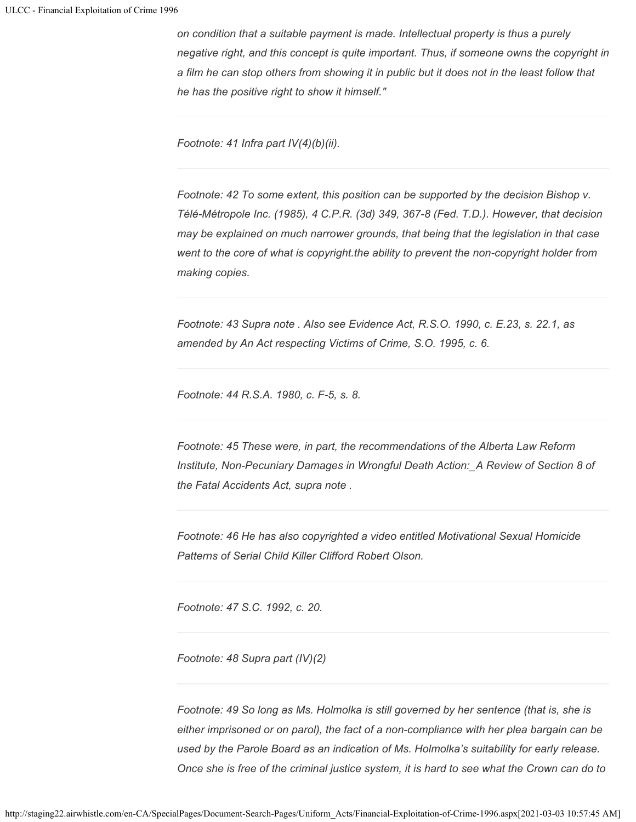*on condition that a suitable payment is made. Intellectual property is thus a purely negative right, and this concept is quite important. Thus, if someone owns the copyright in a film he can stop others from showing it in public but it does not in the least follow that he has the positive right to show it himself."*

*Footnote: 41 Infra part IV(4)(b)(ii).*

*Footnote: 42 To some extent, this position can be supported by the decision Bishop v. Télé-Métropole Inc. (1985), 4 C.P.R. (3d) 349, 367-8 (Fed. T.D.). However, that decision may be explained on much narrower grounds, that being that the legislation in that case went to the core of what is copyright.the ability to prevent the non-copyright holder from making copies.*

*Footnote: 43 Supra note . Also see Evidence Act, R.S.O. 1990, c. E.23, s. 22.1, as amended by An Act respecting Victims of Crime, S.O. 1995, c. 6.*

*Footnote: 44 R.S.A. 1980, c. F-5, s. 8.*

*Footnote: 45 These were, in part, the recommendations of the Alberta Law Reform Institute, Non-Pecuniary Damages in Wrongful Death Action:\_A Review of Section 8 of the Fatal Accidents Act, supra note .*

*Footnote: 46 He has also copyrighted a video entitled Motivational Sexual Homicide Patterns of Serial Child Killer Clifford Robert Olson.*

*Footnote: 47 S.C. 1992, c. 20.*

*Footnote: 48 Supra part (IV)(2)*

*Footnote: 49 So long as Ms. Holmolka is still governed by her sentence (that is, she is either imprisoned or on parol), the fact of a non-compliance with her plea bargain can be used by the Parole Board as an indication of Ms. Holmolka's suitability for early release. Once she is free of the criminal justice system, it is hard to see what the Crown can do to*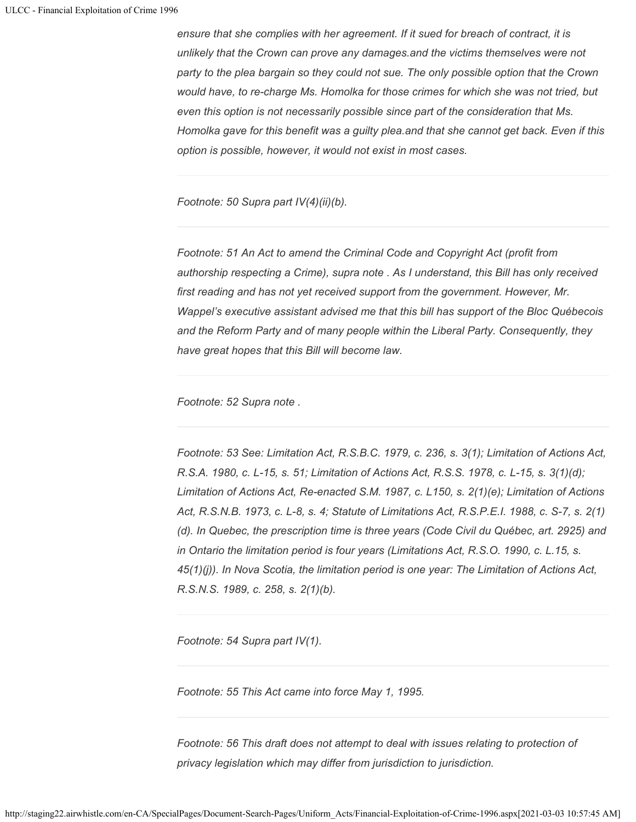*ensure that she complies with her agreement. If it sued for breach of contract, it is unlikely that the Crown can prove any damages.and the victims themselves were not party to the plea bargain so they could not sue. The only possible option that the Crown would have, to re-charge Ms. Homolka for those crimes for which she was not tried, but even this option is not necessarily possible since part of the consideration that Ms. Homolka gave for this benefit was a guilty plea.and that she cannot get back. Even if this option is possible, however, it would not exist in most cases.*

*Footnote: 50 Supra part IV(4)(ii)(b).*

*Footnote: 51 An Act to amend the Criminal Code and Copyright Act (profit from authorship respecting a Crime), supra note . As I understand, this Bill has only received first reading and has not yet received support from the government. However, Mr. Wappel's executive assistant advised me that this bill has support of the Bloc Québecois and the Reform Party and of many people within the Liberal Party. Consequently, they have great hopes that this Bill will become law.*

*Footnote: 52 Supra note .*

*Footnote: 53 See: Limitation Act, R.S.B.C. 1979, c. 236, s. 3(1); Limitation of Actions Act, R.S.A. 1980, c. L-15, s. 51; Limitation of Actions Act, R.S.S. 1978, c. L-15, s. 3(1)(d); Limitation of Actions Act, Re-enacted S.M. 1987, c. L150, s. 2(1)(e); Limitation of Actions Act, R.S.N.B. 1973, c. L-8, s. 4; Statute of Limitations Act, R.S.P.E.I. 1988, c. S-7, s. 2(1) (d). In Quebec, the prescription time is three years (Code Civil du Québec, art. 2925) and in Ontario the limitation period is four years (Limitations Act, R.S.O. 1990, c. L.15, s. 45(1)(j)). In Nova Scotia, the limitation period is one year: The Limitation of Actions Act, R.S.N.S. 1989, c. 258, s. 2(1)(b).*

*Footnote: 54 Supra part IV(1).*

*Footnote: 55 This Act came into force May 1, 1995.*

*Footnote: 56 This draft does not attempt to deal with issues relating to protection of privacy legislation which may differ from jurisdiction to jurisdiction.*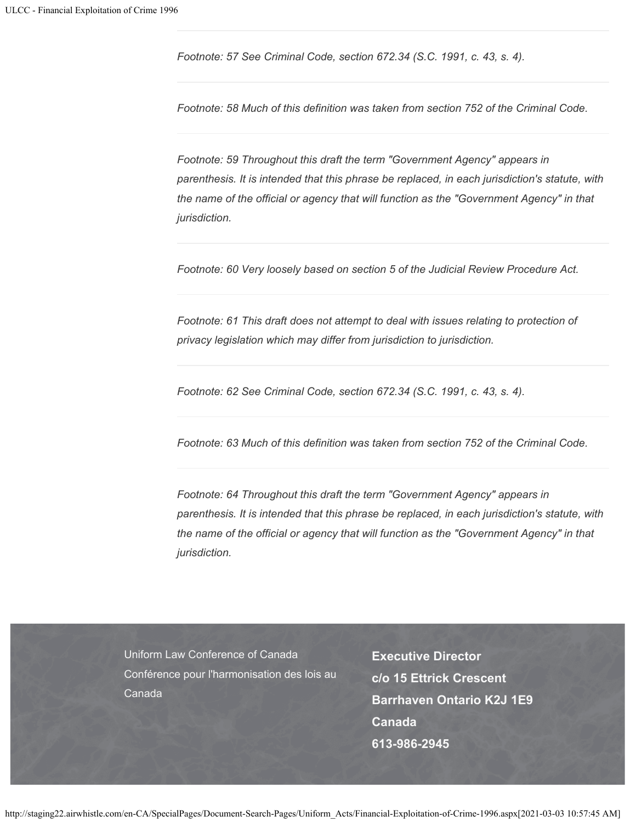*Footnote: 57 See Criminal Code, section 672.34 (S.C. 1991, c. 43, s. 4).*

*Footnote: 58 Much of this definition was taken from section 752 of the Criminal Code.*

*Footnote: 59 Throughout this draft the term "Government Agency" appears in parenthesis. It is intended that this phrase be replaced, in each jurisdiction's statute, with the name of the official or agency that will function as the "Government Agency" in that jurisdiction.*

*Footnote: 60 Very loosely based on section 5 of the Judicial Review Procedure Act.*

*Footnote: 61 This draft does not attempt to deal with issues relating to protection of privacy legislation which may differ from jurisdiction to jurisdiction.*

*Footnote: 62 See Criminal Code, section 672.34 (S.C. 1991, c. 43, s. 4).*

*Footnote: 63 Much of this definition was taken from section 752 of the Criminal Code.*

*Footnote: 64 Throughout this draft the term "Government Agency" appears in parenthesis. It is intended that this phrase be replaced, in each jurisdiction's statute, with the name of the official or agency that will function as the "Government Agency" in that jurisdiction.*

Uniform Law Conference of Canada Conférence pour l'harmonisation des lois au Canada

**Executive Director c/o 15 Ettrick Crescent Barrhaven Ontario K2J 1E9 Canada 613-986-2945**

http://staging22.airwhistle.com/en-CA/SpecialPages/Document-Search-Pages/Uniform\_Acts/Financial-Exploitation-of-Crime-1996.aspx[2021-03-03 10:57:45 AM]